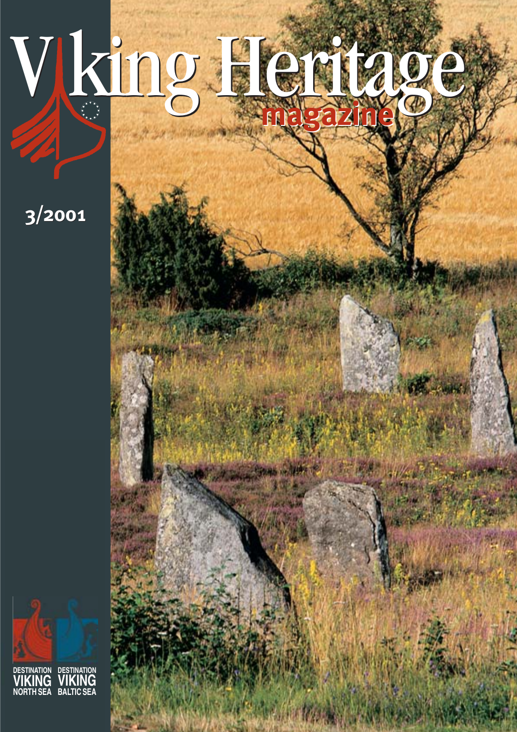# V king Heritage **magazine magazine**

**3/2001**

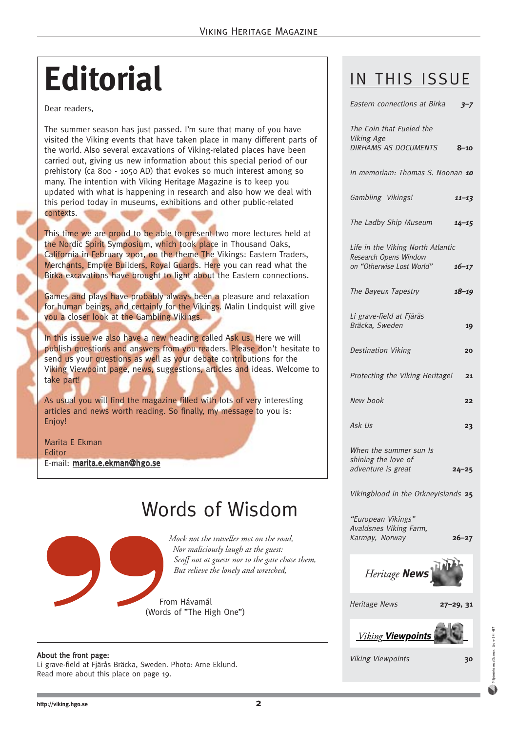### **Editorial**

Dear readers,

The summer season has just passed. I'm sure that many of you have visited the Viking events that have taken place in many different parts of the world. Also several excavations of Viking-related places have been carried out, giving us new information about this special period of our prehistory (ca 800 - 1050 AD) that evokes so much interest among so many. The intention with Viking Heritage Magazine is to keep you updated with what is happening in research and also how we deal with this period today in museums, exhibitions and other public-related contexts.

This time we are proud to be able to present two more lectures held at the Nordic Spirit Symposium, which took place in Thousand Oaks, California in February 2001, on the theme The Vikings: Eastern Traders, Merchants, Empire Builders, Royal Guards. Here you can read what the Birka excavations have brought to light about the Eastern connections.

Games and plays have probably always been a pleasure and relaxation for human beings, and certainly for the Vikings. Malin Lindquist will give you a closer look at the Gambling Vikings.

In this issue we also have a new heading called Ask us. Here we will publish questions and answers from you readers. Please don't hesitate to send us your questions as well as your debate contributions for the Viking Viewpoint page, news, suggestions, articles and ideas. Welcome to take part!

As usual you will find the magazine filled with lots of very interesting articles and news worth reading. So finally, my message to you is: Enjoy!

Marita E Ekman Editor E-mail: marita.e.ekman@hgo.se

### Words of Wisdom

*Mock not the traveller met on the road, Nor maliciously laugh at the guest: Scoff not at guests nor to the gate chase them, But relieve the lonely and wretched,* 

From Hávamál (Words of "The High One")

#### About the front page:

Li grave-field at Fjärås Bräcka, Sweden. Photo: Arne Eklund. Read more about this place on page 19.

#### IN THIS ISSUE

| Eastern connections at Birka                                          | $3 - 7$   |
|-----------------------------------------------------------------------|-----------|
| The Coin that Fueled the<br><b>Viking Age</b><br>DIRHAMS AS DOCUMENTS | $8 - 10$  |
|                                                                       |           |
| In memoriam: Thomas S. Noonan 10                                      |           |
| Gambling Vikings!                                                     | $11 - 13$ |
| The Ladby Ship Museum                                                 | $14 - 15$ |
| Life in the Viking North Atlantic<br>Research Opens Window            |           |
| on "Otherwise Lost World"                                             | $16 - 17$ |
| The Bayeux Tapestry                                                   | $18 - 19$ |
| Li grave-field at Fjärås<br>Bräcka, Sweden                            | 19        |
| <b>Destination Viking</b>                                             | 20        |
| Protecting the Viking Heritage!                                       | 21        |
| New book                                                              | 22        |
| Ask Us                                                                | 23        |
| When the summer sun Is<br>shining the love of                         |           |
| adventure is great                                                    | $24 - 25$ |
| Vikingblood in the OrkneyIslands 25                                   |           |
| "European Vikings"                                                    |           |

"European Vikings" Avaldsnes Viking Farm, Karmøy, Norway **26–27**



Heritage News **27–29, 31**



Viking Viewpoints **30**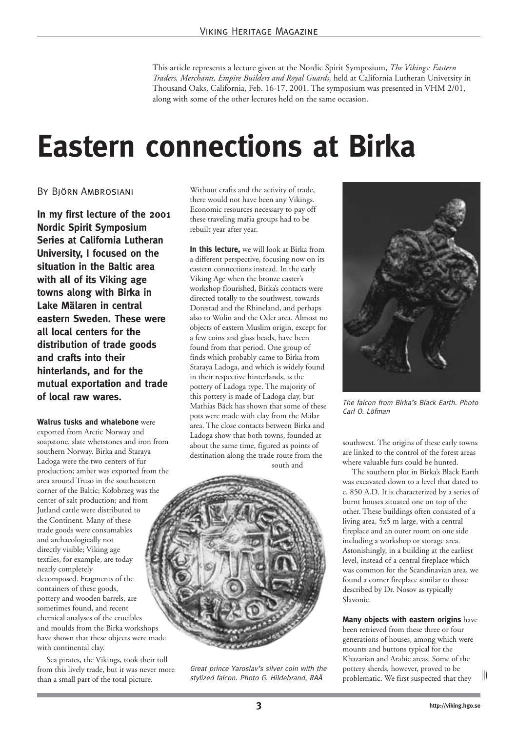This article represents a lecture given at the Nordic Spirit Symposium, *The Vikings: Eastern Traders, Merchants, Empire Builders and Royal Guards,* held at California Lutheran University in Thousand Oaks, California, Feb. 16-17, 2001. The symposium was presented in VHM 2/01, along with some of the other lectures held on the same occasion.

### **Eastern connections at Birka**

#### By Björn Ambrosiani

**In my first lecture of the 2001 Nordic Spirit Symposium Series at California Lutheran University, I focused on the situation in the Baltic area with all of its Viking age towns along with Birka in Lake Mälaren in central eastern Sweden. These were all local centers for the distribution of trade goods and crafts into their hinterlands, and for the mutual exportation and trade of local raw wares.**

#### **Walrus tusks and whalebone** were

exported from Arctic Norway and soapstone, slate whetstones and iron from southern Norway. Birka and Staraya Ladoga were the two centers of fur production; amber was exported from the area around Truso in the southeastern corner of the Baltic; Kolobrzeg was the center of salt production; and from Jutland cattle were distributed to the Continent. Many of these trade goods were consumables and archaeologically not directly visible; Viking age textiles, for example, are today nearly completely decomposed. Fragments of the containers of these goods, pottery and wooden barrels, are sometimes found, and recent chemical analyses of the crucibles and moulds from the Birka workshops have shown that these objects were made with continental clay.

Sea pirates, the Vikings, took their toll from this lively trade, but it was never more than a small part of the total picture.

Without crafts and the activity of trade, there would not have been any Vikings. Economic resources necessary to pay off these traveling mafia groups had to be rebuilt year after year.

**In this lecture,** we will look at Birka from a different perspective, focusing now on its eastern connections instead. In the early Viking Age when the bronze caster's workshop flourished, Birka's contacts were directed totally to the southwest, towards Dorestad and the Rhineland, and perhaps also to Wolin and the Oder area. Almost no objects of eastern Muslim origin, except for a few coins and glass beads, have been found from that period. One group of finds which probably came to Birka from Staraya Ladoga, and which is widely found in their respective hinterlands, is the pottery of Ladoga type. The majority of this pottery is made of Ladoga clay, but Mathias Bäck has shown that some of these pots were made with clay from the Mälar area. The close contacts between Birka and Ladoga show that both towns, founded at about the same time, figured as points of destination along the trade route from the south and



Great prince Yaroslav's silver coin with the stylized falcon. Photo G. Hildebrand, RAÄ



The falcon from Birka's Black Earth. Photo Carl O. Löfman

southwest. The origins of these early towns are linked to the control of the forest areas where valuable furs could be hunted.

The southern plot in Birka's Black Earth was excavated down to a level that dated to c. 850 A.D. It is characterized by a series of burnt houses situated one on top of the other. These buildings often consisted of a living area, 5x5 m large, with a central fireplace and an outer room on one side including a workshop or storage area. Astonishingly, in a building at the earliest level, instead of a central fireplace which was common for the Scandinavian area, we found a corner fireplace similar to those described by Dr. Nosov as typically Slavonic.

**Many objects with eastern origins** have been retrieved from these three or four generations of houses, among which were mounts and buttons typical for the Khazarian and Arabic areas. Some of the pottery sherds, however, proved to be problematic. We first suspected that they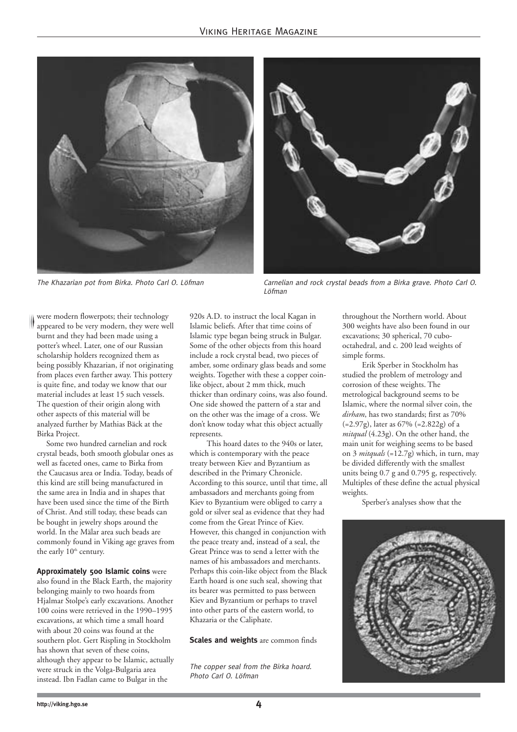



The Khazarian pot from Birka. Photo Carl O. Löfman Carnelian and rock crystal beads from a Birka grave. Photo Carl O. Löfman

were modern flowerpots; their technology appeared to be very modern, they were well burnt and they had been made using a potter's wheel. Later, one of our Russian scholarship holders recognized them as being possibly Khazarian, if not originating from places even farther away. This pottery is quite fine, and today we know that our material includes at least 15 such vessels. The question of their origin along with other aspects of this material will be analyzed further by Mathias Bäck at the Birka Project.

Some two hundred carnelian and rock crystal beads, both smooth globular ones as well as faceted ones, came to Birka from the Caucasus area or India. Today, beads of this kind are still being manufactured in the same area in India and in shapes that have been used since the time of the Birth of Christ. And still today, these beads can be bought in jewelry shops around the world. In the Mälar area such beads are commonly found in Viking age graves from the early 10<sup>th</sup> century.

**Approximately 500 Islamic coins** were also found in the Black Earth, the majority belonging mainly to two hoards from Hjalmar Stolpe's early excavations. Another 100 coins were retrieved in the 1990–1995 excavations, at which time a small hoard with about 20 coins was found at the southern plot. Gert Rispling in Stockholm has shown that seven of these coins, although they appear to be Islamic, actually were struck in the Volga-Bulgaria area instead. Ibn Fadlan came to Bulgar in the

920s A.D. to instruct the local Kagan in Islamic beliefs. After that time coins of Islamic type began being struck in Bulgar. Some of the other objects from this hoard include a rock crystal bead, two pieces of amber, some ordinary glass beads and some weights. Together with these a copper coinlike object, about 2 mm thick, much thicker than ordinary coins, was also found. One side showed the pattern of a star and on the other was the image of a cross. We don't know today what this object actually represents.

This hoard dates to the 940s or later, which is contemporary with the peace treaty between Kiev and Byzantium as described in the Primary Chronicle. According to this source, until that time, all ambassadors and merchants going from Kiev to Byzantium were obliged to carry a gold or silver seal as evidence that they had come from the Great Prince of Kiev. However, this changed in conjunction with the peace treaty and, instead of a seal, the Great Prince was to send a letter with the names of his ambassadors and merchants. Perhaps this coin-like object from the Black Earth hoard is one such seal, showing that its bearer was permitted to pass between Kiev and Byzantium or perhaps to travel into other parts of the eastern world, to Khazaria or the Caliphate.

#### **Scales and weights** are common finds

The copper seal from the Birka hoard. Photo Carl O. Löfman

throughout the Northern world. About 300 weights have also been found in our excavations; 30 spherical, 70 cubooctahedral, and c. 200 lead weights of simple forms.

Erik Sperber in Stockholm has studied the problem of metrology and corrosion of these weights. The metrological background seems to be Islamic, where the normal silver coin, the *dirham*, has two standards; first as 70%  $(=2.97g)$ , later as 67%  $(=2.822g)$  of a *mitqual* (4.23g). On the other hand, the main unit for weighing seems to be based on 3 *mitquals* (=12.7g) which, in turn, may be divided differently with the smallest units being 0.7 g and 0.795 g, respectively. Multiples of these define the actual physical weights.

Sperber's analyses show that the

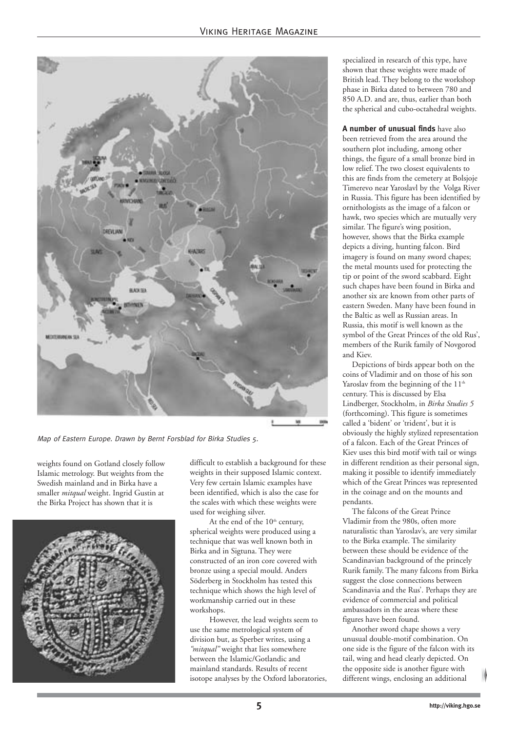

Map of Eastern Europe. Drawn by Bernt Forsblad for Birka Studies 5.

weights found on Gotland closely follow Islamic metrology. But weights from the Swedish mainland and in Birka have a smaller *mitqual* weight. Ingrid Gustin at the Birka Project has shown that it is



difficult to establish a background for these weights in their supposed Islamic context. Very few certain Islamic examples have been identified, which is also the case for the scales with which these weights were used for weighing silver.

At the end of the  $10<sup>th</sup>$  century, spherical weights were produced using a technique that was well known both in Birka and in Sigtuna. They were constructed of an iron core covered with bronze using a special mould. Anders Söderberg in Stockholm has tested this technique which shows the high level of workmanship carried out in these workshops.

However, the lead weights seem to use the same metrological system of division but, as Sperber writes, using a *"mitqual"* weight that lies somewhere between the Islamic/Gotlandic and mainland standards. Results of recent isotope analyses by the Oxford laboratories, specialized in research of this type, have shown that these weights were made of British lead. They belong to the workshop phase in Birka dated to between 780 and 850 A.D. and are, thus, earlier than both the spherical and cubo-octahedral weights.

**A number of unusual finds** have also been retrieved from the area around the southern plot including, among other things, the figure of a small bronze bird in low relief. The two closest equivalents to this are finds from the cemetery at Bolsjoje Timerevo near Yaroslavl by the Volga River in Russia. This figure has been identified by ornithologists as the image of a falcon or hawk, two species which are mutually very similar. The figure's wing position, however, shows that the Birka example depicts a diving, hunting falcon. Bird imagery is found on many sword chapes; the metal mounts used for protecting the tip or point of the sword scabbard. Eight such chapes have been found in Birka and another six are known from other parts of eastern Sweden. Many have been found in the Baltic as well as Russian areas. In Russia, this motif is well known as the symbol of the Great Princes of the old Rus', members of the Rurik family of Novgorod and Kiev.

Depictions of birds appear both on the coins of Vladimir and on those of his son Yaroslav from the beginning of the 11<sup>th</sup> century. This is discussed by Elsa Lindberger, Stockholm, in *Birka Studies 5* (forthcoming). This figure is sometimes called a 'bident' or 'trident', but it is obviously the highly stylized representation of a falcon. Each of the Great Princes of Kiev uses this bird motif with tail or wings in different rendition as their personal sign, making it possible to identify immediately which of the Great Princes was represented in the coinage and on the mounts and pendants.

The falcons of the Great Prince Vladimir from the 980s, often more naturalistic than Yaroslav's, are very similar to the Birka example. The similarity between these should be evidence of the Scandinavian background of the princely Rurik family. The many falcons from Birka suggest the close connections between Scandinavia and the Rus'. Perhaps they are evidence of commercial and political ambassadors in the areas where these figures have been found.

Another sword chape shows a very unusual double-motif combination. On one side is the figure of the falcon with its tail, wing and head clearly depicted. On the opposite side is another figure with different wings, enclosing an additional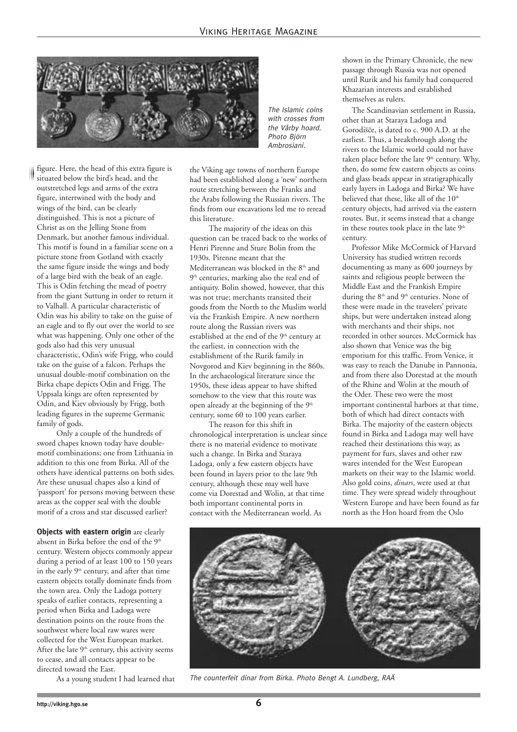

figure. Here, the head of this extra figure is situated below the bird's head, and the outstretched legs and arms of the extra figure, intertwined with the body and wings of the bird, can be clearly distinguished. This is not a picture of Christ as on the Jelling Stone from Denmark, but another famous individual. This motif is found in a familiar scene on a picture stone from Gotland with exactly the same figure inside the wings and body of a large bird with the beak of an eagle. This is Odin fetching the mead of poetry from the giant Suttung in order to return it to Valhall. A particular characteristic of Odin was his ability to take on the guise of an eagle and to fly out over the world to see what was happening. Only one other of the gods also had this very unusual characteristic, Odin's wife Frigg, who could take on the guise of a falcon. Perhaps the unusual double-motif combination on the Birka chape depicts Odin and Frigg. The Uppsala kings are often represented by Odin, and Kiev obviously by Frigg, both leading figures in the supreme Germanic family of gods.

Only a couple of the hundreds of sword chapes known today have doublemotif combinations; one from Lithuania in addition to this one from Birka. All of the others have identical patterns on both sides. Are these unusual chapes also a kind of 'passport' for persons moving between these areas as the copper seal with the double motif of a cross and star discussed earlier?

**Objects with eastern origin** are clearly absent in Birka before the end of the 9<sup>th</sup> century. Western objects commonly appear during a period of at least 100 to 150 years in the early 9<sup>th</sup> century, and after that time eastern objects totally dominate finds from the town area. Only the Ladoga pottery speaks of earlier contacts, representing a period when Birka and Ladoga were destination points on the route from the southwest where local raw wares were collected for the West European market. After the late  $9<sup>th</sup>$  century, this activity seems to cease, and all contacts appear to be directed toward the East.

As a young student I had learned that

The Islamic coins with crosses from the Vårby hoard. Photo Björn Ambrosiani.

the Viking age towns of northern Europe had been established along a 'new' northern route stretching between the Franks and the Arabs following the Russian rivers. The finds from our excavations led me to reread this literature.

The majority of the ideas on this question can be traced back to the works of Henri Pirenne and Sture Bolin from the 1930s. Pirenne meant that the Mediterranean was blocked in the  $8<sup>th</sup>$  and 9<sup>th</sup> centuries, marking also the real end of antiquity. Bolin showed, however, that this was not true; merchants transited their goods from the North to the Muslim world via the Frankish Empire. A new northern route along the Russian rivers was established at the end of the 9<sup>th</sup> century at the earliest, in connection with the establishment of the Rurik family in Novgorod and Kiev beginning in the 860s. In the archaeological literature since the 1950s, these ideas appear to have shifted somehow to the view that this route was open already at the beginning of the 9<sup>th</sup> century, some 60 to 100 years earlier.

The reason for this shift in chronological interpretation is unclear since there is no material evidence to motivate such a change. In Birka and Staraya Ladoga, only a few eastern objects have been found in layers prior to the late 9th century, although these may well have come via Dorestad and Wolin, at that time both important continental ports in contact with the Mediterranean world. As

shown in the Primary Chronicle, the new passage through Russia was not opened until Rurik and his family had conquered Khazarian interests and established themselves as rulers.

The Scandinavian settlement in Russia, other than at Staraya Ladoga and Gorodišče, is dated to c. 900 A.D. at the earliest. Thus, a breakthrough along the rivers to the Islamic world could not have taken place before the late  $9<sup>th</sup>$  century. Why, then, do some few eastern objects as coins and glass beads appear in stratigraphically early layers in Ladoga and Birka? We have believed that these. like all of the  $10<sup>th</sup>$ century objects, had arrived via the eastern routes. But, it seems instead that a change in these routes took place in the late 9<sup>th</sup> century.

Professor Mike McCormick of Harvard University has studied written records documenting as many as 600 journeys by saints and religious people between the Middle East and the Frankish Empire during the 8<sup>th</sup> and 9<sup>th</sup> centuries. None of these were made in the travelers' private ships, but were undertaken instead along with merchants and their ships, not recorded in other sources. McCormick has also shown that Venice was the big emporium for this traffic. From Venice, it was easy to reach the Danube in Pannonia, and from there also Dorestad at the mouth of the Rhine and Wolin at the mouth of the Oder. These two were the most important continental harbors at that time, both of which had direct contacts with Birka. The majority of the eastern objects found in Birka and Ladoga may well have reached their destinations this way, as payment for furs, slaves and other raw wares intended for the West European markets on their way to the Islamic world. Also gold coins, *dinars*, were used at that time. They were spread widely throughout Western Europe and have been found as far north as the Hon hoard from the Oslo



The counterfeit dinar from Birka. Photo Bengt A. Lundberg, RAÄ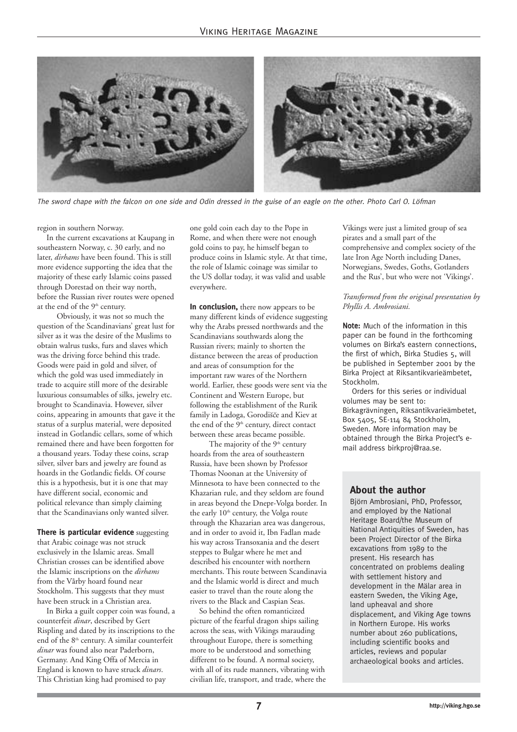

The sword chape with the falcon on one side and Odin dressed in the guise of an eagle on the other. Photo Carl O. Löfman

region in southern Norway.

In the current excavations at Kaupang in southeastern Norway, c. 30 early, and no later, *dirhams* have been found. This is still more evidence supporting the idea that the majority of these early Islamic coins passed through Dorestad on their way north, before the Russian river routes were opened at the end of the 9<sup>th</sup> century.

Obviously, it was not so much the question of the Scandinavians' great lust for silver as it was the desire of the Muslims to obtain walrus tusks, furs and slaves which was the driving force behind this trade. Goods were paid in gold and silver, of which the gold was used immediately in trade to acquire still more of the desirable luxurious consumables of silks, jewelry etc. brought to Scandinavia. However, silver coins, appearing in amounts that gave it the status of a surplus material, were deposited instead in Gotlandic cellars, some of which remained there and have been forgotten for a thousand years. Today these coins, scrap silver, silver bars and jewelry are found as hoards in the Gotlandic fields. Of course this is a hypothesis, but it is one that may have different social, economic and political relevance than simply claiming that the Scandinavians only wanted silver.

**There is particular evidence** suggesting that Arabic coinage was not struck exclusively in the Islamic areas. Small Christian crosses can be identified above the Islamic inscriptions on the *dirhams* from the Vårby hoard found near Stockholm. This suggests that they must have been struck in a Christian area.

In Birka a guilt copper coin was found, a counterfeit *dinar*, described by Gert Rispling and dated by its inscriptions to the end of the  $8<sup>th</sup>$  century. A similar counterfeit *dinar* was found also near Paderborn, Germany. And King Offa of Mercia in England is known to have struck *dinars*. This Christian king had promised to pay

one gold coin each day to the Pope in Rome, and when there were not enough gold coins to pay, he himself began to produce coins in Islamic style. At that time, the role of Islamic coinage was similar to the US dollar today, it was valid and usable everywhere.

**In conclusion,** there now appears to be many different kinds of evidence suggesting why the Arabs pressed northwards and the Scandinavians southwards along the Russian rivers; mainly to shorten the distance between the areas of production and areas of consumption for the important raw wares of the Northern world. Earlier, these goods were sent via the Continent and Western Europe, but following the establishment of the Rurik family in Ladoga, Gorodišče and Kiev at the end of the  $9<sup>th</sup>$  century, direct contact between these areas became possible.

The majority of the  $9<sup>th</sup>$  century hoards from the area of southeastern Russia, have been shown by Professor Thomas Noonan at the University of Minnesota to have been connected to the Khazarian rule, and they seldom are found in areas beyond the Dnepr-Volga border. In the early 10<sup>th</sup> century, the Volga route through the Khazarian area was dangerous, and in order to avoid it, Ibn Fadlan made his way across Transoxania and the desert steppes to Bulgar where he met and described his encounter with northern merchants. This route between Scandinavia and the Islamic world is direct and much easier to travel than the route along the rivers to the Black and Caspian Seas.

So behind the often romanticized picture of the fearful dragon ships sailing across the seas, with Vikings marauding throughout Europe, there is something more to be understood and something different to be found. A normal society, with all of its rude manners, vibrating with civilian life, transport, and trade, where the

Vikings were just a limited group of sea pirates and a small part of the comprehensive and complex society of the late Iron Age North including Danes, Norwegians, Swedes, Goths, Gotlanders and the Rus', but who were not 'Vikings'.

#### *Transformed from the original presentation by Phyllis A. Ambrosiani.*

Note: Much of the information in this paper can be found in the forthcoming volumes on Birka's eastern connections, the first of which, Birka Studies 5, will be published in September 2001 by the Birka Project at Riksantikvarieämbetet, Stockholm.

Orders for this series or individual volumes may be sent to: Birkagrävningen, Riksantikvarieämbetet, Box 5405, SE-114 84 Stockholm, Sweden. More information may be obtained through the Birka Project's email address birkproj@raa.se.

#### **About the author**

Björn Ambrosiani, PhD, Professor, and employed by the National Heritage Board/the Museum of National Antiquities of Sweden, has been Project Director of the Birka excavations from 1989 to the present. His research has concentrated on problems dealing with settlement history and development in the Mälar area in eastern Sweden, the Viking Age, land upheaval and shore displacement, and Viking Age towns in Northern Europe. His works number about 260 publications, including scientific books and articles, reviews and popular archaeological books and articles.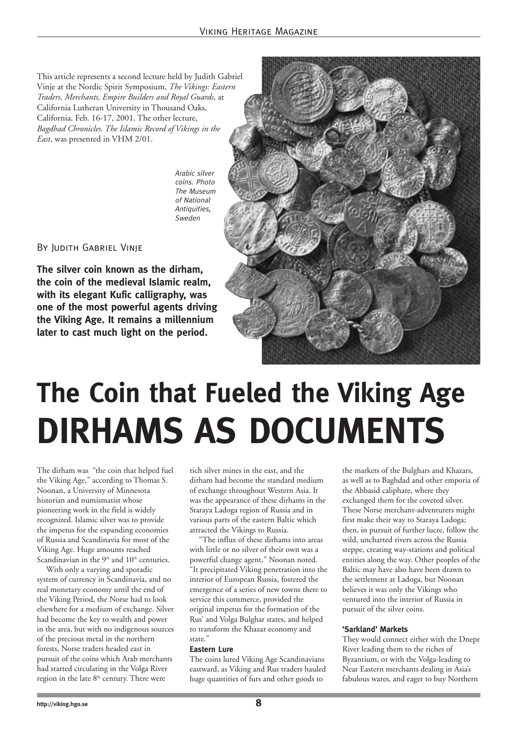This article represents a second lecture held by Judith Gabriel Vinje at the Nordic Spirit Symposium, *The Vikings: Eastern Traders, Merchants, Empire Builders and Royal Guards*, at California Lutheran University in Thousand Oaks, California, Feb. 16-17, 2001. The other lecture, *Bagdhad Chronicles. The Islamic Record of Vikings in the East*, was presented in VHM 2/01.

> Arabic silver coins. Photo The Museum of National Antiquities, Sweden

#### By Judith Gabriel Vinje

**The silver coin known as the dirham, the coin of the medieval Islamic realm, with its elegant Kufic calligraphy, was one of the most powerful agents driving the Viking Age. It remains a millennium later to cast much light on the period.**



### **The Coin that Fueled the Viking Age DIRHAMS AS DOCUMENTS**

The dirham was "the coin that helped fuel the Viking Age," according to Thomas S. Noonan, a University of Minnesota historian and numismatist whose pioneering work in the field is widely recognized. Islamic silver was to provide the impetus for the expanding economies of Russia and Scandinavia for most of the Viking Age. Huge amounts reached Scandinavian in the  $9<sup>th</sup>$  and  $10<sup>th</sup>$  centuries.

With only a varying and sporadic system of currency in Scandinavia, and no real monetary economy until the end of the Viking Period, the Norse had to look elsewhere for a medium of exchange. Silver had become the key to wealth and power in the area, but with no indigenous sources of the precious metal in the northern forests, Norse traders headed east in pursuit of the coins which Arab merchants had started circulating in the Volga River region in the late 8<sup>th</sup> century. There were

rich silver mines in the east, and the dirham had become the standard medium of exchange throughout Western Asia. It was the appearance of these dirhams in the Staraya Ladoga region of Russia and in various parts of the eastern Baltic which attracted the Vikings to Russia.

"The influx of these dirhams into areas with little or no silver of their own was a powerful change agent," Noonan noted. "It precipitated Viking penetration into the interior of European Russia, fostered the emergence of a series of new towns there to service this commerce, provided the original impetus for the formation of the Rus' and Volga Bulghar states, and helped to transform the Khazar economy and state."

#### **Eastern Lure**

The coins lured Viking Age Scandinavians eastward, as Viking and Rus traders hauled huge quantities of furs and other goods to

the markets of the Bulghars and Khazars, as well as to Baghdad and other emporia of the Abbasid caliphate, where they exchanged them for the coveted silver. These Norse merchant-adventurers might first make their way to Staraya Ladoga; then, in pursuit of further lucre, follow the wild, uncharted rivers across the Russia steppe, creating way-stations and political entities along the way. Other peoples of the Baltic may have also have been drawn to the settlement at Ladoga, but Noonan believes it was only the Vikings who ventured into the interior of Russia in pursuit of the silver coins.

#### **'Sarkland' Markets**

They would connect either with the Dnepr River leading them to the riches of Byzantium, or with the Volga-leading to Near Eastern merchants dealing in Asia's fabulous wares, and eager to buy Northern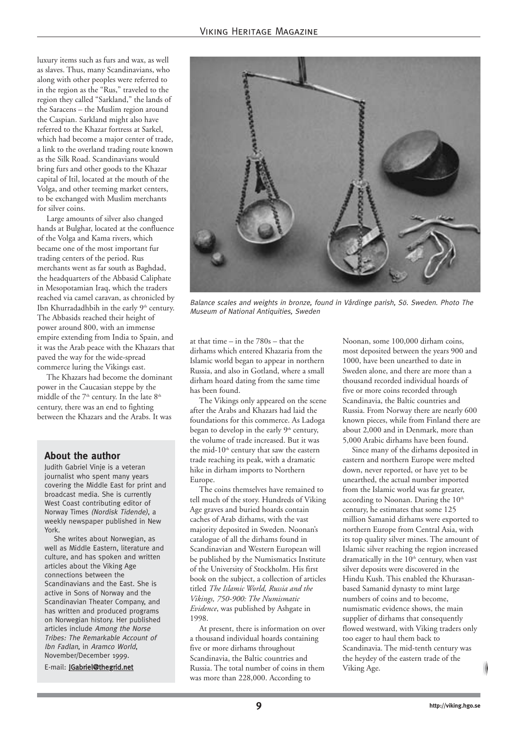luxury items such as furs and wax, as well as slaves. Thus, many Scandinavians, who along with other peoples were referred to in the region as the "Rus," traveled to the region they called "Sarkland," the lands of the Saracens – the Muslim region around the Caspian. Sarkland might also have referred to the Khazar fortress at Sarkel, which had become a major center of trade, a link to the overland trading route known as the Silk Road. Scandinavians would bring furs and other goods to the Khazar capital of Itil, located at the mouth of the Volga, and other teeming market centers, to be exchanged with Muslim merchants for silver coins.

Large amounts of silver also changed hands at Bulghar, located at the confluence of the Volga and Kama rivers, which became one of the most important fur trading centers of the period. Rus merchants went as far south as Baghdad, the headquarters of the Abbasid Caliphate in Mesopotamian Iraq, which the traders reached via camel caravan, as chronicled by Ibn Khurradadhbih in the early 9<sup>th</sup> century. The Abbasids reached their height of power around 800, with an immense empire extending from India to Spain, and it was the Arab peace with the Khazars that paved the way for the wide-spread commerce luring the Vikings east.

The Khazars had become the dominant power in the Caucasian steppe by the middle of the 7<sup>th</sup> century. In the late 8<sup>th</sup> century, there was an end to fighting between the Khazars and the Arabs. It was

#### **About the author**

Judith Gabriel Vinje is a veteran journalist who spent many years covering the Middle East for print and broadcast media. She is currently West Coast contributing editor of Norway Times (Nordisk Tidende), a weekly newspaper published in New York.

She writes about Norwegian, as well as Middle Eastern, literature and culture, and has spoken and written articles about the Viking Age connections between the Scandinavians and the East. She is active in Sons of Norway and the Scandinavian Theater Company, and has written and produced programs on Norwegian history. Her published articles include Among the Norse Tribes: The Remarkable Account of Ibn Fadlan, in Aramco World, November/December 1999.

E-mail: JGabriel@thegrid.net



Balance scales and weights in bronze, found in Vårdinge parish, Sö. Sweden. Photo The Museum of National Antiquities, Sweden

at that time – in the 780s – that the dirhams which entered Khazaria from the Islamic world began to appear in northern Russia, and also in Gotland, where a small dirham hoard dating from the same time has been found.

The Vikings only appeared on the scene after the Arabs and Khazars had laid the foundations for this commerce. As Ladoga began to develop in the early 9<sup>th</sup> century, the volume of trade increased. But it was the mid- $10<sup>th</sup>$  century that saw the eastern trade reaching its peak, with a dramatic hike in dirham imports to Northern Europe.

The coins themselves have remained to tell much of the story. Hundreds of Viking Age graves and buried hoards contain caches of Arab dirhams, with the vast majority deposited in Sweden. Noonan's catalogue of all the dirhams found in Scandinavian and Western European will be published by the Numismatics Institute of the University of Stockholm. His first book on the subject, a collection of articles titled *The Islamic World, Russia and the Vikings, 750-900: The Numismatic Evidence*, was published by Ashgate in 1998.

At present, there is information on over a thousand individual hoards containing five or more dirhams throughout Scandinavia, the Baltic countries and Russia. The total number of coins in them was more than 228,000. According to

Noonan, some 100,000 dirham coins, most deposited between the years 900 and 1000, have been unearthed to date in Sweden alone, and there are more than a thousand recorded individual hoards of five or more coins recorded through Scandinavia, the Baltic countries and Russia. From Norway there are nearly 600 known pieces, while from Finland there are about 2,000 and in Denmark, more than 5,000 Arabic dirhams have been found.

Since many of the dirhams deposited in eastern and northern Europe were melted down, never reported, or have yet to be unearthed, the actual number imported from the Islamic world was far greater, according to Noonan. During the 10<sup>th</sup> century, he estimates that some 125 million Samanid dirhams were exported to northern Europe from Central Asia, with its top quality silver mines. The amount of Islamic silver reaching the region increased dramatically in the  $10<sup>th</sup>$  century, when vast silver deposits were discovered in the Hindu Kush. This enabled the Khurasanbased Samanid dynasty to mint large numbers of coins and to become, numismatic evidence shows, the main supplier of dirhams that consequently flowed westward, with Viking traders only too eager to haul them back to Scandinavia. The mid-tenth century was the heydey of the eastern trade of the Viking Age.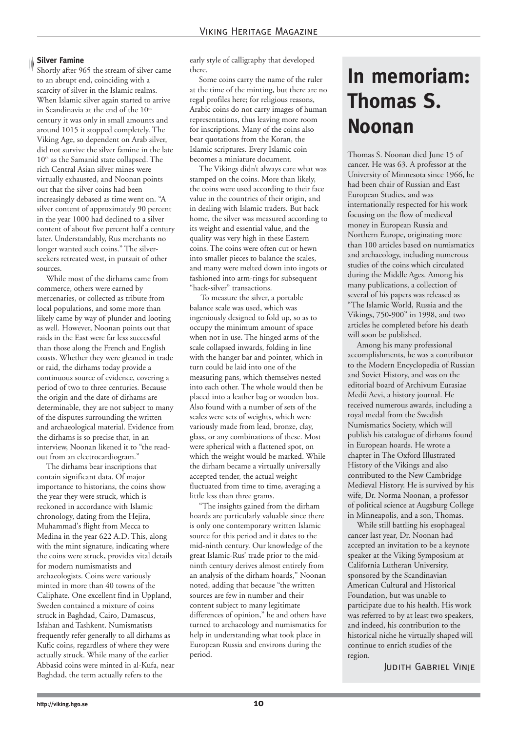#### **Silver Famine**

Shortly after 965 the stream of silver came to an abrupt end, coinciding with a scarcity of silver in the Islamic realms. When Islamic silver again started to arrive in Scandinavia at the end of the 10<sup>th</sup> century it was only in small amounts and around 1015 it stopped completely. The Viking Age, so dependent on Arab silver, did not survive the silver famine in the late  $10<sup>th</sup>$  as the Samanid state collapsed. The rich Central Asian silver mines were virtually exhausted, and Noonan points out that the silver coins had been increasingly debased as time went on. "A silver content of approximately 90 percent in the year 1000 had declined to a silver content of about five percent half a century later. Understandably, Rus merchants no longer wanted such coins." The silverseekers retreated west, in pursuit of other sources.

While most of the dirhams came from commerce, others were earned by mercenaries, or collected as tribute from local populations, and some more than likely came by way of plunder and looting as well. However, Noonan points out that raids in the East were far less successful than those along the French and English coasts. Whether they were gleaned in trade or raid, the dirhams today provide a continuous source of evidence, covering a period of two to three centuries. Because the origin and the date of dirhams are determinable, they are not subject to many of the disputes surrounding the written and archaeological material. Evidence from the dirhams is so precise that, in an interview, Noonan likened it to "the readout from an electrocardiogram."

The dirhams bear inscriptions that contain significant data. Of major importance to historians, the coins show the year they were struck, which is reckoned in accordance with Islamic chronology, dating from the Hejira, Muhammad's flight from Mecca to Medina in the year 622 A.D. This, along with the mint signature, indicating where the coins were struck, provides vital details for modern numismatists and archaeologists. Coins were variously minted in more than 40 towns of the Caliphate. One excellent find in Uppland, Sweden contained a mixture of coins struck in Baghdad, Cairo, Damascus, Isfahan and Tashkent. Numismatists frequently refer generally to all dirhams as Kufic coins, regardless of where they were actually struck. While many of the earlier Abbasid coins were minted in al-Kufa, near Baghdad, the term actually refers to the

early style of calligraphy that developed there.

Some coins carry the name of the ruler at the time of the minting, but there are no regal profiles here; for religious reasons, Arabic coins do not carry images of human representations, thus leaving more room for inscriptions. Many of the coins also bear quotations from the Koran, the Islamic scriptures. Every Islamic coin becomes a miniature document.

The Vikings didn't always care what was stamped on the coins. More than likely, the coins were used according to their face value in the countries of their origin, and in dealing with Islamic traders. But back home, the silver was measured according to its weight and essential value, and the quality was very high in these Eastern coins. The coins were often cut or hewn into smaller pieces to balance the scales, and many were melted down into ingots or fashioned into arm-rings for subsequent "hack-silver" transactions.

To measure the silver, a portable balance scale was used, which was ingeniously designed to fold up, so as to occupy the minimum amount of space when not in use. The hinged arms of the scale collapsed inwards, folding in line with the hanger bar and pointer, which in turn could be laid into one of the measuring pans, which themselves nested into each other. The whole would then be placed into a leather bag or wooden box. Also found with a number of sets of the scales were sets of weights, which were variously made from lead, bronze, clay, glass, or any combinations of these. Most were spherical with a flattened spot, on which the weight would be marked. While the dirham became a virtually universally accepted tender, the actual weight fluctuated from time to time, averaging a little less than three grams.

"The insights gained from the dirham hoards are particularly valuable since there is only one contemporary written Islamic source for this period and it dates to the mid-ninth century. Our knowledge of the great Islamic-Rus' trade prior to the midninth century derives almost entirely from an analysis of the dirham hoards," Noonan noted, adding that because "the written sources are few in number and their content subject to many legitimate differences of opinion," he and others have turned to archaeology and numismatics for help in understanding what took place in European Russia and environs during the period.

### **In memoriam: Thomas S. Noonan**

Thomas S. Noonan died June 15 of cancer. He was 63. A professor at the University of Minnesota since 1966, he had been chair of Russian and East European Studies, and was internationally respected for his work focusing on the flow of medieval money in European Russia and Northern Europe, originating more than 100 articles based on numismatics and archaeology, including numerous studies of the coins which circulated during the Middle Ages. Among his many publications, a collection of several of his papers was released as "The Islamic World, Russia and the Vikings, 750-900" in 1998, and two articles he completed before his death will soon be published.

Among his many professional accomplishments, he was a contributor to the Modern Encyclopedia of Russian and Soviet History, and was on the editorial board of Archivum Eurasiae Medii Aevi, a history journal. He received numerous awards, including a royal medal from the Swedish Numismatics Society, which will publish his catalogue of dirhams found in European hoards. He wrote a chapter in The Oxford Illustrated History of the Vikings and also contributed to the New Cambridge Medieval History. He is survived by his wife, Dr. Norma Noonan, a professor of political science at Augsburg College in Minneapolis, and a son, Thomas.

While still battling his esophageal cancer last year, Dr. Noonan had accepted an invitation to be a keynote speaker at the Viking Symposium at California Lutheran University, sponsored by the Scandinavian American Cultural and Historical Foundation, but was unable to participate due to his health. His work was referred to by at least two speakers, and indeed, his contribution to the historical niche he virtually shaped will continue to enrich studies of the region.

Judith Gabriel Vinje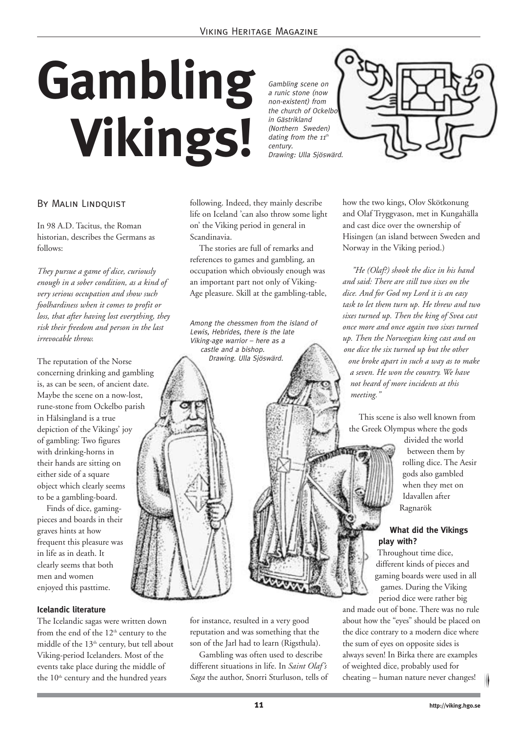# **Gambling Vikings!**

Gambling scene on a runic stone (now non-existent) from the church of Ockelbo in Gästrikland (Northern Sweden) dating from the  $11^{th}$ century. Drawing: Ulla Sjöswärd.



#### By Malin Lindquist

In 98 A.D. Tacitus, the Roman historian, describes the Germans as follows:

*They pursue a game of dice, curiously enough in a sober condition, as a kind of very serious occupation and show such foolhardiness when it comes to profit or loss, that after having lost everything, they risk their freedom and person in the last irrevocable throw.*

The reputation of the Norse concerning drinking and gambling is, as can be seen, of ancient date. Maybe the scene on a now-lost, rune-stone from Ockelbo parish in Hälsingland is a true depiction of the Vikings' joy of gambling: Two figures with drinking-horns in their hands are sitting on either side of a square object which clearly seems to be a gambling-board.

Finds of dice, gamingpieces and boards in their graves hints at how frequent this pleasure was in life as in death. It clearly seems that both men and women enjoyed this pasttime.

#### **Icelandic literature**

The Icelandic sagas were written down from the end of the  $12<sup>th</sup>$  century to the middle of the  $13<sup>th</sup>$  century, but tell about Viking-period Icelanders. Most of the events take place during the middle of the 10<sup>th</sup> century and the hundred years

following. Indeed, they mainly describe life on Iceland 'can also throw some light on' the Viking period in general in Scandinavia.

The stories are full of remarks and references to games and gambling, an occupation which obviously enough was an important part not only of Viking-Age pleasure. Skill at the gambling-table,

Among the chessmen from the island of Lewis, Hebrides, there is the late Viking-age warrior – here as a castle and a bishop. Drawing. Ulla Sjöswärd.

how the two kings, Olov Skötkonung and Olaf Tryggvason, met in Kungahälla and cast dice over the ownership of Hisingen (an island between Sweden and Norway in the Viking period.)

*"He (Olaf?) shook the dice in his hand and said: There are still two sixes on the dice. And for God my Lord it is an easy task to let them turn up. He threw and two sixes turned up. Then the king of Svea cast once more and once again two sixes turned up. Then the Norwegian king cast and on one dice the six turned up but the other one broke apart in such a way as to make a seven. He won the country. We have not heard of more incidents at this meeting."*

This scene is also well known from the Greek Olympus where the gods

> divided the world between them by rolling dice. The Aesir gods also gambled when they met on Idavallen after Ragnarök

#### **What did the Vikings play with?**

Throughout time dice, different kinds of pieces and gaming boards were used in all games. During the Viking period dice were rather big

and made out of bone. There was no rule about how the "eyes" should be placed on the dice contrary to a modern dice where the sum of eyes on opposite sides is always seven! In Birka there are examples of weighted dice, probably used for cheating – human nature never changes!

for instance, resulted in a very good reputation and was something that the son of the Jarl had to learn (Rigsthula).

Gambling was often used to describe different situations in life. In *Saint Olaf's Saga* the author, Snorri Sturluson, tells of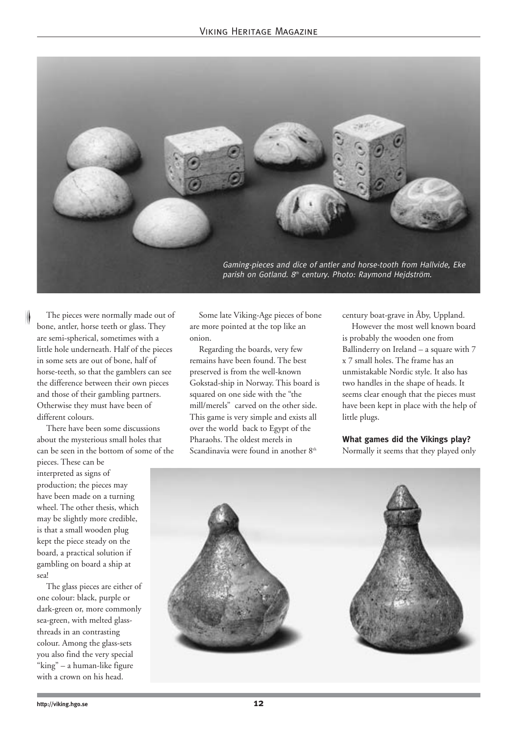

The pieces were normally made out of bone, antler, horse teeth or glass. They are semi-spherical, sometimes with a little hole underneath. Half of the pieces in some sets are out of bone, half of horse-teeth, so that the gamblers can see the difference between their own pieces and those of their gambling partners. Otherwise they must have been of different colours.

There have been some discussions about the mysterious small holes that can be seen in the bottom of some of the

pieces. These can be interpreted as signs of production; the pieces may have been made on a turning wheel. The other thesis, which may be slightly more credible, is that a small wooden plug kept the piece steady on the board, a practical solution if gambling on board a ship at sea!

The glass pieces are either of one colour: black, purple or dark-green or, more commonly sea-green, with melted glassthreads in an contrasting colour. Among the glass-sets you also find the very special "king" – a human-like figure with a crown on his head.

Some late Viking-Age pieces of bone are more pointed at the top like an onion.

Regarding the boards, very few remains have been found. The best preserved is from the well-known Gokstad-ship in Norway. This board is squared on one side with the "the mill/merels" carved on the other side. This game is very simple and exists all over the world back to Egypt of the Pharaohs. The oldest merels in Scandinavia were found in another 8<sup>th</sup>

century boat-grave in Åby, Uppland.

However the most well known board is probably the wooden one from Ballinderry on Ireland – a square with 7 x 7 small holes. The frame has an unmistakable Nordic style. It also has two handles in the shape of heads. It seems clear enough that the pieces must have been kept in place with the help of little plugs.

**What games did the Vikings play?** Normally it seems that they played only

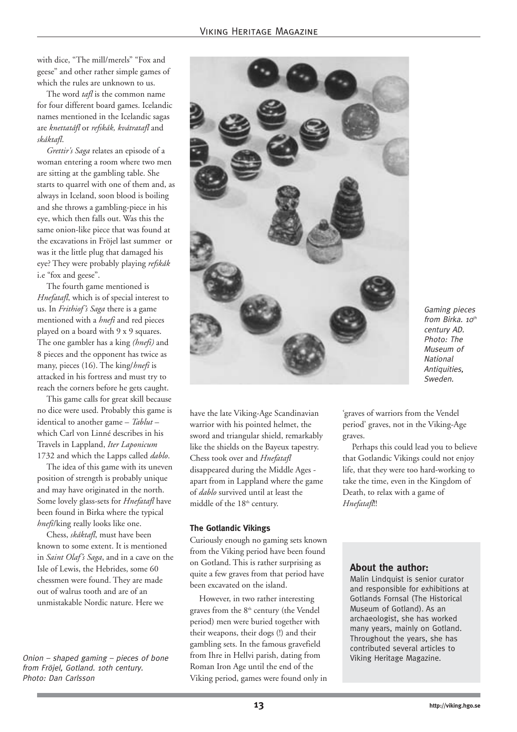with dice, "The mill/merels" "Fox and geese" and other rather simple games of which the rules are unknown to us.

The word *tafl* is the common name for four different board games. Icelandic names mentioned in the Icelandic sagas are *knettatáfl* or *refskák, kvátratafl* and *skáktafl*.

*Grettir's Saga* relates an episode of a woman entering a room where two men are sitting at the gambling table. She starts to quarrel with one of them and, as always in Iceland, soon blood is boiling and she throws a gambling-piece in his eye, which then falls out. Was this the same onion-like piece that was found at the excavations in Fröjel last summer or was it the little plug that damaged his eye? They were probably playing *refskák* i.e "fox and geese".

The fourth game mentioned is *Hnefatafl*, which is of special interest to us. In *Frithiof's Saga* there is a game mentioned with a *hnefi* and red pieces played on a board with 9 x 9 squares. The one gambler has a king *(hnefi)* and 8 pieces and the opponent has twice as many, pieces (16). The king/*hnefi* is attacked in his fortress and must try to reach the corners before he gets caught.

This game calls for great skill because no dice were used. Probably this game is identical to another game – *Tablut* – which Carl von Linné describes in his Travels in Lappland, *Iter Laponicum* 1732 and which the Lapps called *dablo*.

The idea of this game with its uneven position of strength is probably unique and may have originated in the north. Some lovely glass-sets for *Hnefatafl* have been found in Birka where the typical *hnefi*/king really looks like one.

Chess, *skáktafl*, must have been known to some extent. It is mentioned in *Saint Olaf's Saga*, and in a cave on the Isle of Lewis, the Hebrides, some 60 chessmen were found. They are made out of walrus tooth and are of an unmistakable Nordic nature. Here we

*Onion – shaped gaming – pieces of bone* from thre in Hellyi parish, dating from  $\overrightarrow{V}$  Viking Heritage Magazine. from Fröjel, Gotland. 10th century. Photo: Dan Carlsson



Gaming pieces from Birka.  $10^{th}$ century AD. Photo: The Museum of **National** Antiauities. Sweden.

have the late Viking-Age Scandinavian warrior with his pointed helmet, the sword and triangular shield, remarkably like the shields on the Bayeux tapestry. Chess took over and *Hnefatafl* disappeared during the Middle Ages apart from in Lappland where the game of *dablo* survived until at least the middle of the 18<sup>th</sup> century.

#### **The Gotlandic Vikings**

Curiously enough no gaming sets known from the Viking period have been found on Gotland. This is rather surprising as quite a few graves from that period have been excavated on the island.

However, in two rather interesting graves from the 8<sup>th</sup> century (the Vendel period) men were buried together with their weapons, their dogs (!) and their gambling sets. In the famous gravefield from Ihre in Hellvi parish, dating from Roman Iron Age until the end of the Viking period, games were found only in

'graves of warriors from the Vendel period' graves, not in the Viking-Age graves.

Perhaps this could lead you to believe that Gotlandic Vikings could not enjoy life, that they were too hard-working to take the time, even in the Kingdom of Death, to relax with a game of *Hnefatafl*!!

#### **About the author:**

Malin Lindquist is senior curator and responsible for exhibitions at Gotlands Fornsal (The Historical Museum of Gotland). As an archaeologist, she has worked many years, mainly on Gotland. Throughout the years, she has contributed several articles to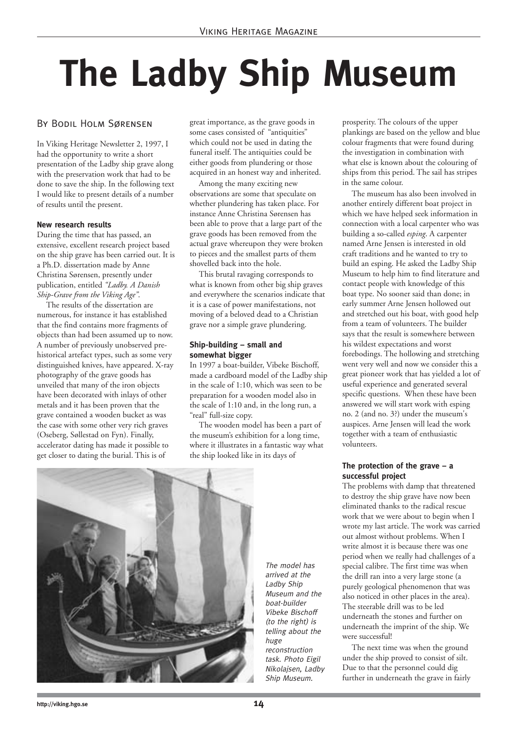# **The Ladby Ship Museum**

#### By Bodil Holm Sørensen

In Viking Heritage Newsletter 2, 1997, I had the opportunity to write a short presentation of the Ladby ship grave along with the preservation work that had to be done to save the ship. In the following text I would like to present details of a number of results until the present.

#### **New research results**

During the time that has passed, an extensive, excellent research project based on the ship grave has been carried out. It is a Ph.D. dissertation made by Anne Christina Sørensen, presently under publication, entitled *"Ladby. A Danish Ship-Grave from the Viking Age"*.

The results of the dissertation are numerous, for instance it has established that the find contains more fragments of objects than had been assumed up to now. A number of previously unobserved prehistorical artefact types, such as some very distinguished knives, have appeared. X-ray photography of the grave goods has unveiled that many of the iron objects have been decorated with inlays of other metals and it has been proven that the grave contained a wooden bucket as was the case with some other very rich graves (Oseberg, Søllestad on Fyn). Finally, accelerator dating has made it possible to get closer to dating the burial. This is of

great importance, as the grave goods in some cases consisted of "antiquities" which could not be used in dating the funeral itself. The antiquities could be either goods from plundering or those acquired in an honest way and inherited.

Among the many exciting new observations are some that speculate on whether plundering has taken place. For instance Anne Christina Sørensen has been able to prove that a large part of the grave goods has been removed from the actual grave whereupon they were broken to pieces and the smallest parts of them shovelled back into the hole.

This brutal ravaging corresponds to what is known from other big ship graves and everywhere the scenarios indicate that it is a case of power manifestations, not moving of a beloved dead to a Christian grave nor a simple grave plundering.

#### **Ship-building – small and somewhat bigger**

In 1997 a boat-builder, Vibeke Bischoff, made a cardboard model of the Ladby ship in the scale of 1:10, which was seen to be preparation for a wooden model also in the scale of 1:10 and, in the long run, a "real" full-size copy.

The wooden model has been a part of the museum's exhibition for a long time, where it illustrates in a fantastic way what the ship looked like in its days of



The model has arrived at the Ladby Ship Museum and the boat-builder Vibeke Bischoff (to the right) is telling about the huge reconstruction task. Photo Eigil Nikolajsen, Ladby Ship Museum.

prosperity. The colours of the upper plankings are based on the yellow and blue colour fragments that were found during the investigation in combination with what else is known about the colouring of ships from this period. The sail has stripes in the same colour.

The museum has also been involved in another entirely different boat project in which we have helped seek information in connection with a local carpenter who was building a so-called *esping*. A carpenter named Arne Jensen is interested in old craft traditions and he wanted to try to build an esping. He asked the Ladby Ship Museum to help him to find literature and contact people with knowledge of this boat type. No sooner said than done; in early summer Arne Jensen hollowed out and stretched out his boat, with good help from a team of volunteers. The builder says that the result is somewhere between his wildest expectations and worst forebodings. The hollowing and stretching went very well and now we consider this a great pioneer work that has yielded a lot of useful experience and generated several specific questions. When these have been answered we will start work with esping no. 2 (and no. 3?) under the museum's auspices. Arne Jensen will lead the work together with a team of enthusiastic volunteers.

#### **The protection of the grave – a successful project**

The problems with damp that threatened to destroy the ship grave have now been eliminated thanks to the radical rescue work that we were about to begin when I wrote my last article. The work was carried out almost without problems. When I write almost it is because there was one period when we really had challenges of a special calibre. The first time was when the drill ran into a very large stone (a purely geological phenomenon that was also noticed in other places in the area). The steerable drill was to be led underneath the stones and further on underneath the imprint of the ship. We were successful!

The next time was when the ground under the ship proved to consist of silt. Due to that the personnel could dig further in underneath the grave in fairly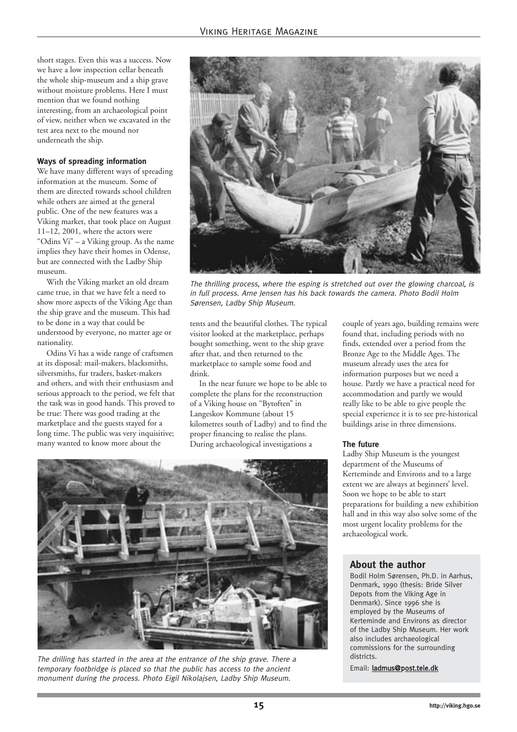short stages. Even this was a success. Now we have a low inspection cellar beneath the whole ship-museum and a ship grave without moisture problems. Here I must mention that we found nothing interesting, from an archaeological point of view, neither when we excavated in the test area next to the mound nor underneath the ship.

#### **Ways of spreading information**

We have many different ways of spreading information at the museum. Some of them are directed towards school children while others are aimed at the general public. One of the new features was a Viking market, that took place on August 11–12, 2001, where the actors were "Odins Vi" – a Viking group. As the name implies they have their homes in Odense, but are connected with the Ladby Ship museum.

With the Viking market an old dream came true, in that we have felt a need to show more aspects of the Viking Age than the ship grave and the museum. This had to be done in a way that could be understood by everyone, no matter age or nationality.

Odins Vi has a wide range of craftsmen at its disposal: mail-makers, blacksmiths, silversmiths, fur traders, basket-makers and others, and with their enthusiasm and serious approach to the period, we felt that the task was in good hands. This proved to be true: There was good trading at the marketplace and the guests stayed for a long time. The public was very inquisitive; many wanted to know more about the



The thrilling process, where the esping is stretched out over the glowing charcoal, is in full process. Arne Jensen has his back towards the camera. Photo Bodil Holm Sørensen, Ladby Ship Museum.

tents and the beautiful clothes. The typical visitor looked at the marketplace, perhaps bought something, went to the ship grave after that, and then returned to the marketplace to sample some food and drink.

In the near future we hope to be able to complete the plans for the reconstruction of a Viking house on "Bytoften" in Langeskov Kommune (about 15 kilometres south of Ladby) and to find the proper financing to realise the plans. During archaeological investigations a

couple of years ago, building remains were found that, including periods with no finds, extended over a period from the Bronze Age to the Middle Ages. The museum already uses the area for information purposes but we need a house. Partly we have a practical need for accommodation and partly we would really like to be able to give people the special experience it is to see pre-historical buildings arise in three dimensions.

#### **The future**

Ladby Ship Museum is the youngest department of the Museums of Kerteminde and Environs and to a large extent we are always at beginners' level. Soon we hope to be able to start preparations for building a new exhibition hall and in this way also solve some of the most urgent locality problems for the archaeological work.

#### **About the author**

Bodil Holm Sørensen, Ph.D. in Aarhus, Denmark, 1990 (thesis: Bride Silver Depots from the Viking Age in Denmark). Since 1996 she is employed by the Museums of Kerteminde and Environs as director of the Ladby Ship Museum. Her work also includes archaeological commissions for the surrounding districts

Email: ladmus@post.tele.dk



The drilling has started in the area at the entrance of the ship grave. There a temporary footbridge is placed so that the public has access to the ancient monument during the process. Photo Eigil Nikolajsen, Ladby Ship Museum.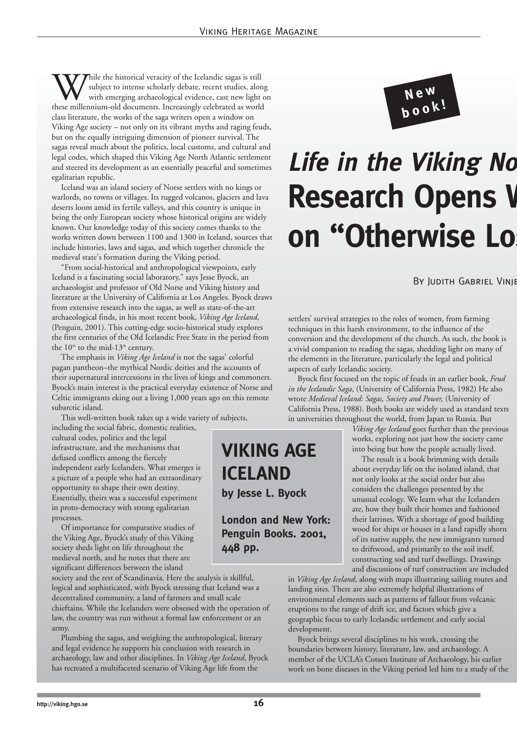While the historical veracity of the Icelandic sagas is still subject to intense scholarly debate, recent studies, alon with emerging archaeological evidence, cast new light of these millennium-old documents. Increasingly subject to intense scholarly debate, recent studies, along with emerging archaeological evidence, cast new light on class literature, the works of the saga writers open a window on Viking Age society – not only on its vibrant myths and raging feuds, but on the equally intriguing dimension of pioneer survival. The sagas reveal much about the politics, local customs, and cultural and legal codes, which shaped this Viking Age North Atlantic settlement and steered its development as an essentially peaceful and sometimes egalitarian republic.

Iceland was an island society of Norse settlers with no kings or warlords, no towns or villages. Its rugged volcanos, glaciers and lava deserts loom amid its fertile valleys, and this country is unique in being the only European society whose historical origins are widely known. Our knowledge today of this society comes thanks to the works written down between 1100 and 1300 in Iceland, sources that include histories, laws and sagas, and which together chronicle the medieval state's formation during the Viking period.

"From social-historical and anthropological viewpoints, early Iceland is a fascinating social laboratory," says Jesse Byock, an archaeologist and professor of Old Norse and Viking history and literature at the University of California at Los Angeles. Byock draws from extensive research into the sagas, as well as state-of-the-art archaeological finds, in his most recent book, *Viking Age Iceland*, (Penguin, 2001). This cutting-edge socio-historical study explores the first centuries of the Old Icelandic Free State in the period from the 10<sup>th</sup> to the mid-13<sup>th</sup> century.

The emphasis in *Viking Age Iceland* is not the sagas' colorful pagan pantheon–the mythical Nordic deities and the accounts of their supernatural intercessions in the lives of kings and commoners. Byock's main interest is the practical everyday existence of Norse and Celtic immigrants eking out a living 1,000 years ago on this remote subarctic island.

This well-written book takes up a wide variety of subjects, including the social fabric, domestic realities,

cultural codes, politics and the legal infrastructure, and the mechanisms that defused conflicts among the fiercely independent early Icelanders. What emerges is a picture of a people who had an extraordinary opportunity to shape their own destiny. Essentially, theirs was a successful experiment in proto-democracy with strong egalitarian processes.

Of importance for comparative studies of the Viking Age, Byock's study of this Viking society sheds light on life throughout the medieval north, and he notes that there are significant differences between the island

society and the rest of Scandinavia. Here the analysis is skillful, logical and sophisticated, with Byock stressing that Iceland was a decentralized community, a land of farmers and small scale chieftains. While the Icelanders were obsessed with the operation of law, the country was run without a formal law enforcement or an army.

Plumbing the sagas, and weighing the anthropological, literary and legal evidence he supports his conclusion with research in archaeology, law and other disciplines. In *Viking Age Iceland*, Byock has recreated a multifaceted scenario of Viking Age life from the



### **Life in the Viking No Research Opens W on "Otherwise Log**

By Judith Gabriel Vinje

settlers' survival strategies to the roles of women, from farming techniques in this harsh environment, to the influence of the conversion and the development of the church. As such, the book is a vivid companion to reading the sagas, shedding light on many of the elements in the literature, particularly the legal and political aspects of early Icelandic society.

Byock first focused on the topic of feuds in an earlier book, *Feud in the Icelandic Saga*, (University of California Press, 1982) He also wrote *Medieval Iceland: Sagas, Society and Power,* (University of California Press, 1988). Both books are widely used as standard texts in universities throughout the world, from Japan to Russia. But

> *Viking Age Iceland* goes further than the previous works, exploring not just how the society came into being but how the people actually lived.

> The result is a book brimming with details about everyday life on the isolated island, that not only looks at the social order but also considers the challenges presented by the unusual ecology. We learn what the Icelanders ate, how they built their homes and fashioned their latrines. With a shortage of good building wood for ships or houses in a land rapidly shorn of its native supply, the new immigrants turned to driftwood, and primarily to the soil itself, constructing sod and turf dwellings. Drawings and discussions of turf construction are included

in *Viking Age Iceland*, along with maps illustrating sailing routes and landing sites. There are also extremely helpful illustrations of environmental elements such as patterns of fallout from volcanic eruptions to the range of drift ice, and factors which give a geographic focus to early Icelandic settlement and early social development.

Byock brings several disciplines to his work, crossing the boundaries between history, literature, law, and archaeology. A member of the UCLA's Cotsen Institute of Archaeology, his earlier work on bone diseases in the Viking period led him to a study of the

**VIKING AGE**

**ICELAND**

**448 pp.**

**by Jesse L. Byock**

**London and New York: Penguin Books. 2001,**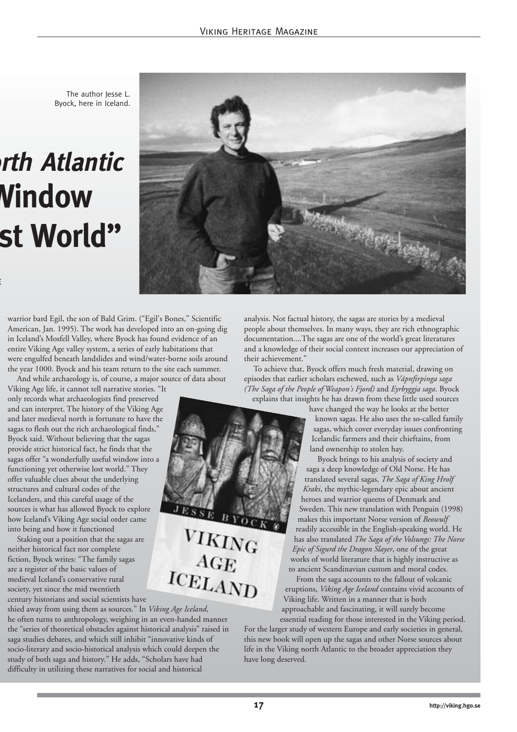The author lesse L. Byock, here in Iceland.

### **orth Atlantic Window st World"**

e



warrior bard Egil, the son of Bald Grim. ("Egil's Bones," Scientific American, Jan. 1995). The work has developed into an on-going dig in Iceland's Mosfell Valley, where Byock has found evidence of an entire Viking Age valley system, a series of early habitations that were engulfed beneath landslides and wind/water-borne soils around the year 1000. Byock and his team return to the site each summer.

And while archaeology is, of course, a major source of data about Viking Age life, it cannot tell narrative stories. "It only records what archaeologists find preserved and can interpret. The history of the Viking Age and later medieval north is fortunate to have the sagas to flesh out the rich archaeological finds," Byock said. Without believing that the sagas provide strict historical fact, he finds that the sagas offer "a wonderfully useful window into a functioning yet otherwise lost world." They offer valuable clues about the underlying structures and cultural codes of the Icelanders, and this careful usage of the sources is what has allowed Byock to explore how Iceland's Viking Age social order came into being and how it functioned

Staking out a position that the sagas are neither historical fact nor complete fiction, Byock writes: "The family sagas are a register of the basic values of medieval Iceland's conservative rural society, yet since the mid twentieth century historians and social scientists have

shied away from using them as sources." In *Viking Age Iceland*, he often turns to anthropology, weighing in an even-handed manner the "series of theoretical obstacles against historical analysis" raised in saga studies debates, and which still inhibit "innovative kinds of socio-literary and socio-historical analysis which could deepen the study of both saga and history." He adds, "Scholars have had difficulty in utilizing these narratives for social and historical

analysis. Not factual history, the sagas are stories by a medieval people about themselves. In many ways, they are rich ethnographic documentation....The sagas are one of the world's great literatures and a knowledge of their social context increases our appreciation of their achievement."

To achieve that, Byock offers much fresh material, drawing on episodes that earlier scholars eschewed, such as *Vápnfirpinga saga (The Saga of the People of Weapon's Fjord)* and *Eyrbyggja saga*. Byock explains that insights he has drawn from these little used sources

> have changed the way he looks at the better known sagas. He also uses the so-called family sagas, which cover everyday issues confronting Icelandic farmers and their chieftains, from land ownership to stolen hay.

Byock brings to his analysis of society and saga a deep knowledge of Old Norse. He has translated several sagas, *The Saga of King Hrolf Kraki*, the mythic-legendary epic about ancient heroes and warrior queens of Denmark and Sweden. This new translation with Penguin (1998) makes this important Norse version of *Beowulf* readily accessible in the English-speaking world. He has also translated *The Saga of the Volsungs: The Norse Epic of Sigurd the Dragon Slayer*, one of the great works of world literature that is highly instructive as to ancient Scandinavian custom and moral codes.

From the saga accounts to the fallout of volcanic eruptions, *Viking Age Iceland* contains vivid accounts of Viking life. Written in a manner that is both approachable and fascinating, it will surely become

essential reading for those interested in the Viking period. For the larger study of western Europe and early societies in general, this new book will open up the sagas and other Norse sources about life in the Viking north Atlantic to the broader appreciation they have long deserved.

JESSE BYOC

VIKING<br>AGE

ICELAND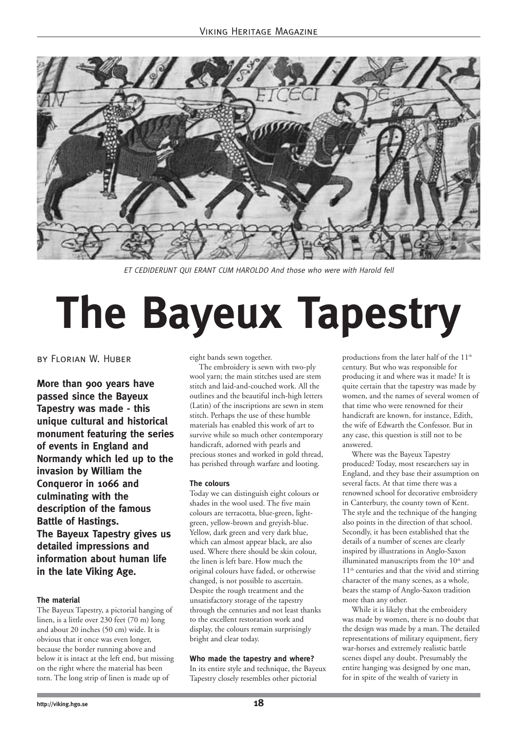

ET CEDIDERUNT QUI ERANT CUM HAROLDO And those who were with Harold fell

# **The Bayeux Tapestry**

#### by Florian W. Huber

**More than 900 years have passed since the Bayeux Tapestry was made - this unique cultural and historical monument featuring the series of events in England and Normandy which led up to the invasion by William the Conqueror in 1066 and culminating with the description of the famous Battle of Hastings. The Bayeux Tapestry gives us detailed impressions and information about human life in the late Viking Age.** 

#### **The material**

The Bayeux Tapestry, a pictorial hanging of linen, is a little over 230 feet (70 m) long and about 20 inches (50 cm) wide. It is obvious that it once was even longer, because the border running above and below it is intact at the left end, but missing on the right where the material has been torn. The long strip of linen is made up of

eight bands sewn together.

The embroidery is sewn with two-ply wool yarn; the main stitches used are stem stitch and laid-and-couched work. All the outlines and the beautiful inch-high letters (Latin) of the inscriptions are sewn in stem stitch. Perhaps the use of these humble materials has enabled this work of art to survive while so much other contemporary handicraft, adorned with pearls and precious stones and worked in gold thread, has perished through warfare and looting.

#### **The colours**

Today we can distinguish eight colours or shades in the wool used. The five main colours are terracotta, blue-green, lightgreen, yellow-brown and greyish-blue. Yellow, dark green and very dark blue, which can almost appear black, are also used. Where there should be skin colour, the linen is left bare. How much the original colours have faded, or otherwise changed, is not possible to ascertain. Despite the rough treatment and the unsatisfactory storage of the tapestry through the centuries and not least thanks to the excellent restoration work and display, the colours remain surprisingly bright and clear today.

#### **Who made the tapestry and where?**

In its entire style and technique, the Bayeux Tapestry closely resembles other pictorial

productions from the later half of the 11<sup>th</sup> century. But who was responsible for producing it and where was it made? It is quite certain that the tapestry was made by women, and the names of several women of that time who were renowned for their handicraft are known, for instance, Edith, the wife of Edwarth the Confessor. But in any case, this question is still not to be answered.

Where was the Bayeux Tapestry produced? Today, most researchers say in England, and they base their assumption on several facts. At that time there was a renowned school for decorative embroidery in Canterbury, the county town of Kent. The style and the technique of the hanging also points in the direction of that school. Secondly, it has been established that the details of a number of scenes are clearly inspired by illustrations in Anglo-Saxon illuminated manuscripts from the 10<sup>th</sup> and 11th centuries and that the vivid and stirring character of the many scenes, as a whole, bears the stamp of Anglo-Saxon tradition more than any other.

While it is likely that the embroidery was made by women, there is no doubt that the design was made by a man. The detailed representations of military equipment, fiery war-horses and extremely realistic battle scenes dispel any doubt. Presumably the entire hanging was designed by one man, for in spite of the wealth of variety in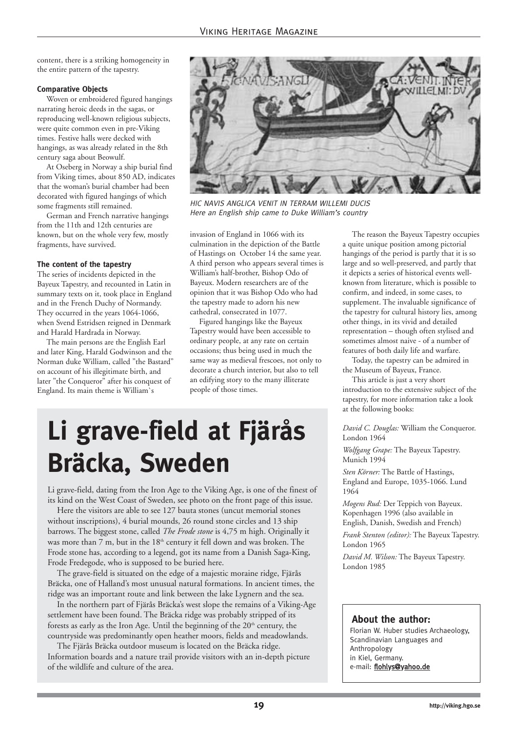content, there is a striking homogeneity in the entire pattern of the tapestry.

#### **Comparative Objects**

Woven or embroidered figured hangings narrating heroic deeds in the sagas, or reproducing well-known religious subjects, were quite common even in pre-Viking times. Festive halls were decked with hangings, as was already related in the 8th century saga about Beowulf.

At Oseberg in Norway a ship burial find from Viking times, about 850 AD, indicates that the woman's burial chamber had been decorated with figured hangings of which some fragments still remained.

German and French narrative hangings from the 11th and 12th centuries are known, but on the whole very few, mostly fragments, have survived.

#### **The content of the tapestry**

The series of incidents depicted in the Bayeux Tapestry, and recounted in Latin in summary texts on it, took place in England and in the French Duchy of Normandy. They occurred in the years 1064-1066, when Svend Estridsen reigned in Denmark and Harald Hardrada in Norway.

The main persons are the English Earl and later King, Harald Godwinson and the Norman duke William, called "the Bastard" on account of his illegitimate birth, and later "the Conqueror" after his conquest of England. Its main theme is William`s



HIC NAVIS ANGLICA VENIT IN TERRAM WILLEMI DUCIS Here an English ship came to Duke William's country

invasion of England in 1066 with its culmination in the depiction of the Battle of Hastings on October 14 the same year. A third person who appears several times is William's half-brother, Bishop Odo of Bayeux. Modern researchers are of the opinion that it was Bishop Odo who had the tapestry made to adorn his new cathedral, consecrated in 1077.

Figured hangings like the Bayeux Tapestry would have been accessible to ordinary people, at any rate on certain occasions; thus being used in much the same way as medieval frescoes, not only to decorate a church interior, but also to tell an edifying story to the many illiterate people of those times.

### **Li grave-field at Fjärås Bräcka, Sweden**

Li grave-field, dating from the Iron Age to the Viking Age, is one of the finest of its kind on the West Coast of Sweden, see photo on the front page of this issue.

Here the visitors are able to see 127 bauta stones (uncut memorial stones without inscriptions), 4 burial mounds, 26 round stone circles and 13 ship barrows. The biggest stone, called *The Frode stone* is 4,75 m high. Originally it was more than 7 m, but in the 18<sup>th</sup> century it fell down and was broken. The Frode stone has, according to a legend, got its name from a Danish Saga-King, Frode Fredegode, who is supposed to be buried here.

The grave-field is situated on the edge of a majestic moraine ridge, Fjärås Bräcka, one of Halland's most unusual natural formations. In ancient times, the ridge was an important route and link between the lake Lygnern and the sea.

In the northern part of Fjärås Bräcka's west slope the remains of a Viking-Age settlement have been found. The Bräcka ridge was probably stripped of its forests as early as the Iron Age. Until the beginning of the 20<sup>th</sup> century, the countryside was predominantly open heather moors, fields and meadowlands.

The Fjärås Bräcka outdoor museum is located on the Bräcka ridge. Information boards and a nature trail provide visitors with an in-depth picture of the wildlife and culture of the area.

The reason the Bayeux Tapestry occupies a quite unique position among pictorial hangings of the period is partly that it is so large and so well-preserved, and partly that it depicts a series of historical events wellknown from literature, which is possible to confirm, and indeed, in some cases, to supplement. The invaluable significance of the tapestry for cultural history lies, among other things, in its vivid and detailed representation – though often stylised and sometimes almost naive - of a number of features of both daily life and warfare.

Today, the tapestry can be admired in the Museum of Bayeux, France.

This article is just a very short introduction to the extensive subject of the tapestry, for more information take a look at the following books:

*David C. Douglas:* William the Conqueror. London 1964

*Wolfgang Grape:* The Bayeux Tapestry. Munich 1994

*Sten Körner:* The Battle of Hastings, England and Europe, 1035-1066. Lund 1964

*Mogens Rud:* Der Teppich von Bayeux. Kopenhagen 1996 (also available in English, Danish, Swedish and French)

*Frank Stenton (editor):* The Bayeux Tapestry. London 1965

*David M. Wilson:* The Bayeux Tapestry. London 1985

#### **About the author:**

Florian W. Huber studies Archaeology, Scandinavian Languages and Anthropology in Kiel, Germany. e-mail: flohlys@yahoo.de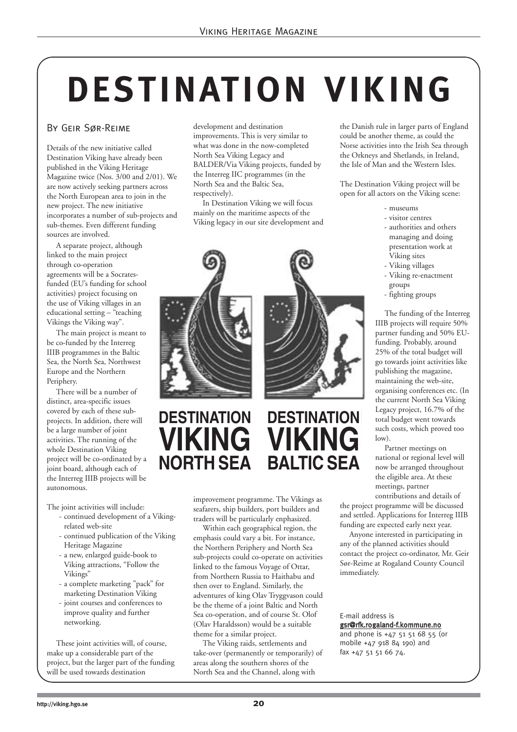# **DESTINATION VIKING**

#### By Geir Sør-Reime

Details of the new initiative called Destination Viking have already been published in the Viking Heritage Magazine twice (Nos. 3/00 and 2/01). We are now actively seeking partners across the North European area to join in the new project. The new initiative incorporates a number of sub-projects and sub-themes. Even different funding sources are involved.

A separate project, although linked to the main project through co-operation agreements will be a Socratesfunded (EU's funding for school activities) project focusing on the use of Viking villages in an educational setting – "teaching Vikings the Viking way".

The main project is meant to be co-funded by the Interreg IIIB programmes in the Baltic Sea, the North Sea, Northwest Europe and the Northern Periphery.

There will be a number of distinct, area-specific issues covered by each of these subprojects. In addition, there will be a large number of joint activities. The running of the whole Destination Viking project will be co-ordinated by a joint board, although each of the Interreg IIIB projects will be autonomous.

The joint activities will include:

- continued development of a Vikingrelated web-site
- continued publication of the Viking Heritage Magazine
- a new, enlarged guide-book to Viking attractions, "Follow the Vikings"
- a complete marketing "pack" for marketing Destination Viking
- joint courses and conferences to improve quality and further networking.

These joint activities will, of course, make up a considerable part of the project, but the larger part of the funding will be used towards destination

development and destination improvements. This is very similar to what was done in the now-completed North Sea Viking Legacy and BALDER/Via Viking projects, funded by the Interreg IIC programmes (in the North Sea and the Baltic Sea, respectively).

In Destination Viking we will focus mainly on the maritime aspects of the Viking legacy in our site development and



#### **DESTINATION VIKING NORTH SEA G** VIKING

improvement programme. The Vikings as seafarers, ship builders, port builders and traders will be particularly enphasized.

**DESTINATION**

**BALTIC SEA**

Within each geographical region, the emphasis could vary a bit. For instance, the Northern Periphery and North Sea sub-projects could co-operate on activities linked to the famous Voyage of Ottar, from Northern Russia to Haithabu and then over to England. Similarly, the adventures of king Olav Tryggvason could be the theme of a joint Baltic and North Sea co-operation, and of course St. Olof (Olav Haraldsson) would be a suitable theme for a similar project.

The Viking raids, settlements and take-over (permanently or temporarily) of areas along the southern shores of the North Sea and the Channel, along with

the Danish rule in larger parts of England could be another theme, as could the Norse activities into the Irish Sea through the Orkneys and Shetlands, in Ireland, the Isle of Man and the Western Isles.

The Destination Viking project will be open for all actors on the Viking scene:

- museums
- visitor centres
- authorities and others managing and doing presentation work at Viking sites
- Viking villages
- Viking re-enactment groups
- fighting groups

The funding of the Interreg IIIB projects will require 50% partner funding and 50% EUfunding. Probably, around 25% of the total budget will go towards joint activities like publishing the magazine, maintaining the web-site, organising conferences etc. (In the current North Sea Viking Legacy project, 16.7% of the total budget went towards such costs, which proved too  $\vert_{\alpha w}$ 

Partner meetings on national or regional level will now be arranged throughout the eligible area. At these meetings, partner contributions and details of

the project programme will be discussed and settled. Applications for Interreg IIIB funding are expected early next year.

Anyone interested in participating in any of the planned activities should contact the project co-ordinator, Mr. Geir Sør-Reime at Rogaland County Council immediately.

#### E-mail address is gsr@rfk.rogaland-f.kommune.no

and phone is +47 51 51 68 55 (or mobile +47 918 84 190) and fax +47 51 51 66 74.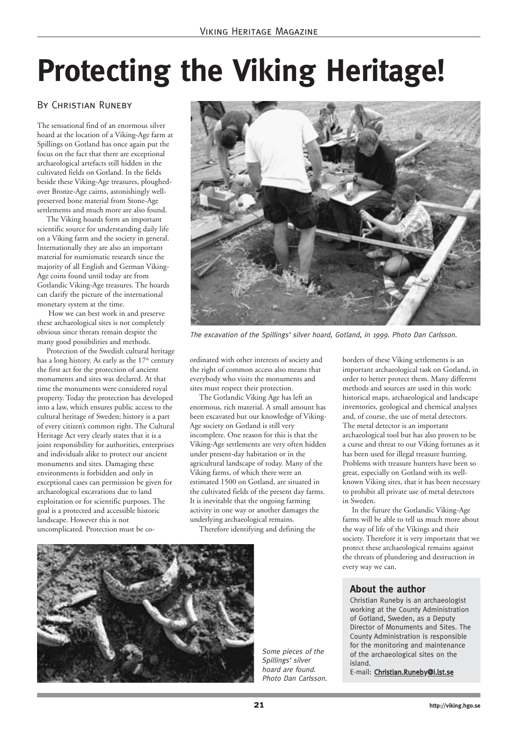### **Protecting the Viking Heritage!**

#### By Christian Runeby

The sensational find of an enormous silver hoard at the location of a Viking-Age farm at Spillings on Gotland has once again put the focus on the fact that there are exceptional archaeological artefacts still hidden in the cultivated fields on Gotland. In the fields beside these Viking-Age treasures, ploughedover Bronze-Age cairns, astonishingly wellpreserved bone material from Stone-Age settlements and much more are also found.

The Viking hoards form an important scientific source for understanding daily life on a Viking farm and the society in general. Internationally they are also an important material for numismatic research since the majority of all English and German Viking-Age coins found until today are from Gotlandic Viking-Age treasures. The hoards can clarify the picture of the international monetary system at the time.

How we can best work in and preserve these archaeological sites is not completely obvious since threats remain despite the many good possibilities and methods.

Protection of the Swedish cultural heritage has a long history. As early as the  $17<sup>th</sup>$  century the first act for the protection of ancient monuments and sites was declared. At that time the monuments were considered royal property. Today the protection has developed into a law, which ensures public access to the cultural heritage of Sweden; history is a part of every citizen's common right. The Cultural Heritage Act very clearly states that it is a joint responsibility for authorities, enterprises and individuals alike to protect our ancient monuments and sites. Damaging these environments is forbidden and only in exceptional cases can permission be given for archaeological excavations due to land exploitation or for scientific purposes. The goal is a protected and accessible historic landscape. However this is not uncomplicated. Protection must be co-



The excavation of the Spillings' silver hoard, Gotland, in 1999. Photo Dan Carlsson.

ordinated with other interests of society and the right of common access also means that everybody who visits the monuments and sites must respect their protection.

The Gotlandic Viking Age has left an enormous, rich material. A small amount has been excavated but our knowledge of Viking-Age society on Gotland is still very incomplete. One reason for this is that the Viking-Age settlements are very often hidden under present-day habitation or in the agricultural landscape of today. Many of the Viking farms, of which there were an estimated 1500 on Gotland, are situated in the cultivated fields of the present day farms. It is inevitable that the ongoing farming activity in one way or another damages the underlying archaeological remains.

Therefore identifying and defining the



Some pieces of the Spillings' silver hoard are found. Photo Dan Carlsson.

borders of these Viking settlements is an important archaeological task on Gotland, in order to better protect them. Many different methods and sources are used in this work: historical maps, archaeological and landscape inventories, geological and chemical analyses and, of course, the use of metal detectors. The metal detector is an important archaeological tool but has also proven to be a curse and threat to our Viking fortunes as it has been used for illegal treasure hunting. Problems with treasure hunters have been so great, especially on Gotland with its wellknown Viking sites, that it has been necessary to prohibit all private use of metal detectors in Sweden.

In the future the Gotlandic Viking-Age farms will be able to tell us much more about the way of life of the Vikings and their society. Therefore it is very important that we protect these archaeological remains against the threats of plundering and destruction in every way we can.

#### **About the author**

Christian Runeby is an archaeologist working at the County Administration of Gotland, Sweden, as a Deputy Director of Monuments and Sites. The County Administration is responsible for the monitoring and maintenance of the archaeological sites on the island.

E-mail: Christian.Runeby@i.lst.se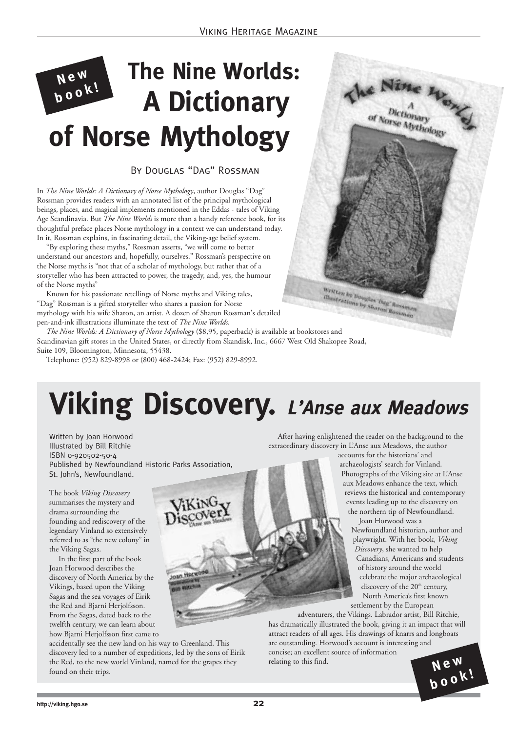#### **Ne<sup>w</sup> bo<sup>o</sup>k! The Nine Worlds: A Dictionary of Norse Mythology**

By Douglas "Dag" Rossman

In *The Nine Worlds: A Dictionary of Norse Mythology*, author Douglas "Dag" Rossman provides readers with an annotated list of the principal mythological beings, places, and magical implements mentioned in the Eddas - tales of Viking Age Scandinavia. But *The Nine Worlds* is more than a handy reference book, for its thoughtful preface places Norse mythology in a context we can understand today. In it, Rossman explains, in fascinating detail, the Viking-age belief system.

"By exploring these myths," Rossman asserts, "we will come to better understand our ancestors and, hopefully, ourselves." Rossman's perspective on the Norse myths is "not that of a scholar of mythology, but rather that of a storyteller who has been attracted to power, the tragedy, and, yes, the humour of the Norse myths"

Known for his passionate retellings of Norse myths and Viking tales, "Dag" Rossman is a gifted storyteller who shares a passion for Norse mythology with his wife Sharon, an artist. A dozen of Sharon Rossman's detailed pen-and-ink illustrations illuminate the text of *The Nine Worlds*.

*The Nine Worlds: A Dictionary of Norse Mythology* (\$8,95, paperback) is available at bookstores and Scandinavian gift stores in the United States, or directly from Skandisk, Inc., 6667 West Old Shakopee Road, Suite 109, Bloomington, Minnesota, 55438.

Telephone: (952) 829-8998 or (800) 468-2424; Fax: (952) 829-8992.

### **Viking Discovery. L'Anse aux Meadows**

Written by Joan Horwood Illustrated by Bill Ritchie ISBN 0-920502-50-4 Published by Newfoundland Historic Parks Association, St. John's, Newfoundland.

The book *Viking Discovery* summarises the mystery and drama surrounding the founding and rediscovery of the legendary Vinland so extensively referred to as "the new colony" in the Viking Sagas.

In the first part of the book Joan Horwood describes the discovery of North America by the Vikings, based upon the Viking Sagas and the sea voyages of Eirik the Red and Bjarni Herjolfsson. From the Sagas, dated back to the twelfth century, we can learn about how Bjarni Herjolfsson first came to

accidentally see the new land on his way to Greenland. This discovery led to a number of expeditions, led by the sons of Eirik the Red, to the new world Vinland, named for the grapes they found on their trips.

After having enlightened the reader on the background to the extraordinary discovery in L'Anse aux Meadows, the author

Written by Boughts Dag"s is ritten by Douglas Dag, Ressinant

> accounts for the historians' and archaeologists' search for Vinland. Photographs of the Viking site at L'Anse aux Meadows enhance the text, which reviews the historical and contemporary events leading up to the discovery on the northern tip of Newfoundland.

Ac Nine Head

Joan Horwood was a Newfoundland historian, author and playwright. With her book, *Viking Discovery*, she wanted to help Canadians, Americans and students of history around the world celebrate the major archaeological discovery of the 20<sup>th</sup> century, North America's first known settlement by the European

**bo<sup>o</sup>k!**

adventurers, the Vikings. Labrador artist, Bill Ritchie, has dramatically illustrated the book, giving it an impact that will attract readers of all ages. His drawings of knarrs and longboats are outstanding. Horwood's account is interesting and concise; an excellent source of information relating to this find.  $N \in \mathbb{N}$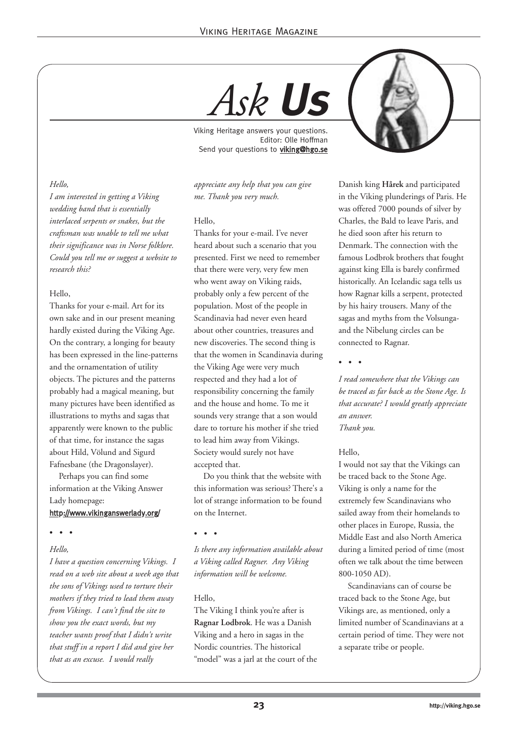*Ask* **Us**

Viking Heritage answers your questions. Editor: Olle Hoffman Send your questions to viking@hgo.se

*appreciate any help that you can give me. Thank you very much.*

#### Hello,

Thanks for your e-mail. I've never heard about such a scenario that you presented. First we need to remember that there were very, very few men who went away on Viking raids, probably only a few percent of the population. Most of the people in Scandinavia had never even heard about other countries, treasures and new discoveries. The second thing is that the women in Scandinavia during the Viking Age were very much respected and they had a lot of responsibility concerning the family and the house and home. To me it sounds very strange that a son would dare to torture his mother if she tried to lead him away from Vikings. Society would surely not have accepted that.

Do you think that the website with this information was serious? There's a lot of strange information to be found on the Internet.

• • •

*Is there any information available about a Viking called Ragner. Any Viking information will be welcome.*

#### Hello,

The Viking I think you're after is **Ragnar Lodbrok**. He was a Danish Viking and a hero in sagas in the Nordic countries. The historical "model" was a jarl at the court of the Danish king **Hårek** and participated in the Viking plunderings of Paris. He was offered 7000 pounds of silver by Charles, the Bald to leave Paris, and he died soon after his return to Denmark. The connection with the famous Lodbrok brothers that fought against king Ella is barely confirmed historically. An Icelandic saga tells us how Ragnar kills a serpent, protected by his hairy trousers. Many of the sagas and myths from the Volsungaand the Nibelung circles can be connected to Ragnar.

• • •

*I read somewhere that the Vikings can be traced as far back as the Stone Age. Is that accurate? I would greatly appreciate an answer. Thank you.*

#### Hello,

I would not say that the Vikings can be traced back to the Stone Age. Viking is only a name for the extremely few Scandinavians who sailed away from their homelands to other places in Europe, Russia, the Middle East and also North America during a limited period of time (most often we talk about the time between 800-1050 AD).

Scandinavians can of course be traced back to the Stone Age, but Vikings are, as mentioned, only a limited number of Scandinavians at a certain period of time. They were not a separate tribe or people.

#### *Hello,*

*I am interested in getting a Viking wedding band that is essentially interlaced serpents or snakes, but the craftsman was unable to tell me what their significance was in Norse folklore. Could you tell me or suggest a website to research this?*

#### Hello,

Thanks for your e-mail. Art for its own sake and in our present meaning hardly existed during the Viking Age. On the contrary, a longing for beauty has been expressed in the line-patterns and the ornamentation of utility objects. The pictures and the patterns probably had a magical meaning, but many pictures have been identified as illustrations to myths and sagas that apparently were known to the public of that time, for instance the sagas about Hild, Völund and Sigurd Fafnesbane (the Dragonslayer).

Perhaps you can find some information at the Viking Answer Lady homepage:

#### http://www.vikinganswerlady.org/

• • •

#### *Hello,*

*I have a question concerning Vikings. I read on a web site about a week ago that the sons of Vikings used to torture their mothers if they tried to lead them away from Vikings. I can't find the site to show you the exact words, but my teacher wants proof that I didn't write that stuff in a report I did and give her that as an excuse. I would really*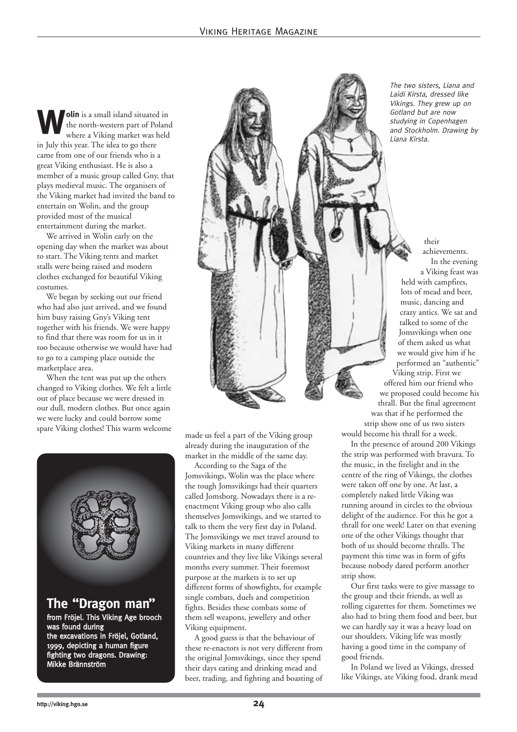**Wolin** is a small island situated in the north-western part of Poland where a Viking market was held the north-western part of Poland in July this year. The idea to go there came from one of our friends who is a great Viking enthusiast. He is also a member of a music group called Gny, that plays medieval music. The organisers of the Viking market had invited the band to entertain on Wolin, and the group provided most of the musical entertainment during the market.

We arrived in Wolin early on the opening day when the market was about to start. The Viking tents and market stalls were being raised and modern clothes exchanged for beautiful Viking costumes.

We began by seeking out our friend who had also just arrived, and we found him busy raising Gny's Viking tent together with his friends. We were happy to find that there was room for us in it too because otherwise we would have had to go to a camping place outside the marketplace area.

When the tent was put up the others changed to Viking clothes. We felt a little out of place because we were dressed in our dull, modern clothes. But once again we were lucky and could borrow some spare Viking clothes! This warm welcome



1999, depicting a human figure fighting two dragons. Drawing: Mikke Brännström

made us feel a part of the Viking group already during the inauguration of the market in the middle of the same day.

According to the Saga of the Jomsvikings, Wolin was the place where the tough Jomsvikings had their quarters called Jomsborg. Nowadays there is a reenactment Viking group who also calls themselves Jomsvikings, and we started to talk to them the very first day in Poland. The Jomsvikings we met travel around to Viking markets in many different countries and they live like Vikings several months every summer. Their foremost purpose at the markets is to set up different forms of showfights, for example single combats, duels and competition fights. Besides these combats some of them sell weapons, jewellery and other Viking equipment.

A good guess is that the behaviour of these re-enactors is not very different from the original Jomsvikings, since they spend their days eating and drinking mead and beer, trading, and fighting and boasting of

The two sisters, Liana and Laidi Kirsta, dressed like Vikings. They grew up on Gotland but are now studying in Copenhagen and Stockholm. Drawing by Liana Kirsta.

their achievements. In the evening a Viking feast was held with campfires, lots of mead and beer, music, dancing and crazy antics. We sat and talked to some of the Jomsvikings when one of them asked us what we would give him if he performed an "authentic" Viking strip. First we offered him our friend who we proposed could become his thrall. But the final agreement was that if he performed the strip show one of us two sisters would become his thrall for a week.

In the presence of around 200 Vikings the strip was performed with bravura. To the music, in the firelight and in the centre of the ring of Vikings, the clothes were taken off one by one. At last, a completely naked little Viking was running around in circles to the obvious delight of the audience. For this he got a thrall for one week! Later on that evening one of the other Vikings thought that both of us should become thralls. The payment this time was in form of gifts because nobody dared perform another strip show.

Our first tasks were to give massage to the group and their friends, as well as rolling cigarettes for them. Sometimes we also had to bring them food and beer, but we can hardly say it was a heavy load on our shoulders. Viking life was mostly having a good time in the company of good friends.

In Poland we lived as Vikings, dressed like Vikings, ate Viking food, drank mead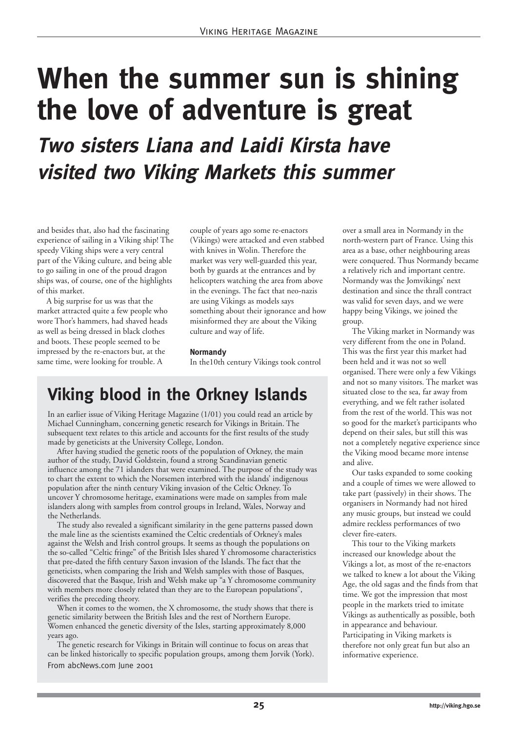### **When the summer sun is shining the love of adventure is great**

**Two sisters Liana and Laidi Kirsta have visited two Viking Markets this summer**

and besides that, also had the fascinating experience of sailing in a Viking ship! The speedy Viking ships were a very central part of the Viking culture, and being able to go sailing in one of the proud dragon ships was, of course, one of the highlights of this market.

A big surprise for us was that the market attracted quite a few people who wore Thor's hammers, had shaved heads as well as being dressed in black clothes and boots. These people seemed to be impressed by the re-enactors but, at the same time, were looking for trouble. A

couple of years ago some re-enactors (Vikings) were attacked and even stabbed with knives in Wolin. Therefore the market was very well-guarded this year, both by guards at the entrances and by helicopters watching the area from above in the evenings. The fact that neo-nazis are using Vikings as models says something about their ignorance and how misinformed they are about the Viking culture and way of life.

#### **Normandy**

In the10th century Vikings took control

#### **Viking blood in the Orkney Islands**

In an earlier issue of Viking Heritage Magazine (1/01) you could read an article by Michael Cunningham, concerning genetic research for Vikings in Britain. The subsequent text relates to this article and accounts for the first results of the study made by geneticists at the University College, London.

After having studied the genetic roots of the population of Orkney, the main author of the study, David Goldstein, found a strong Scandinavian genetic influence among the 71 islanders that were examined. The purpose of the study was to chart the extent to which the Norsemen interbred with the islands' indigenous population after the ninth century Viking invasion of the Celtic Orkney. To uncover Y chromosome heritage, examinations were made on samples from male islanders along with samples from control groups in Ireland, Wales, Norway and the Netherlands.

The study also revealed a significant similarity in the gene patterns passed down the male line as the scientists examined the Celtic credentials of Orkney's males against the Welsh and Irish control groups. It seems as though the populations on the so-called "Celtic fringe" of the British Isles shared Y chromosome characteristics that pre-dated the fifth century Saxon invasion of the Islands. The fact that the geneticists, when comparing the Irish and Welsh samples with those of Basques, discovered that the Basque, Irish and Welsh make up "a Y chromosome community with members more closely related than they are to the European populations", verifies the preceding theory.

When it comes to the women, the X chromosome, the study shows that there is genetic similarity between the British Isles and the rest of Northern Europe. Women enhanced the genetic diversity of the Isles, starting approximately 8,000 years ago.

The genetic research for Vikings in Britain will continue to focus on areas that can be linked historically to specific population groups, among them Jorvik (York). From abcNews.com June 2001

over a small area in Normandy in the north-western part of France. Using this area as a base, other neighbouring areas were conquered. Thus Normandy became a relatively rich and important centre. Normandy was the Jomvikings' next destination and since the thrall contract was valid for seven days, and we were happy being Vikings, we joined the group.

The Viking market in Normandy was very different from the one in Poland. This was the first year this market had been held and it was not so well organised. There were only a few Vikings and not so many visitors. The market was situated close to the sea, far away from everything, and we felt rather isolated from the rest of the world. This was not so good for the market's participants who depend on their sales, but still this was not a completely negative experience since the Viking mood became more intense and alive.

Our tasks expanded to some cooking and a couple of times we were allowed to take part (passively) in their shows. The organisers in Normandy had not hired any music groups, but instead we could admire reckless performances of two clever fire-eaters.

This tour to the Viking markets increased our knowledge about the Vikings a lot, as most of the re-enactors we talked to knew a lot about the Viking Age, the old sagas and the finds from that time. We got the impression that most people in the markets tried to imitate Vikings as authentically as possible, both in appearance and behaviour. Participating in Viking markets is therefore not only great fun but also an informative experience.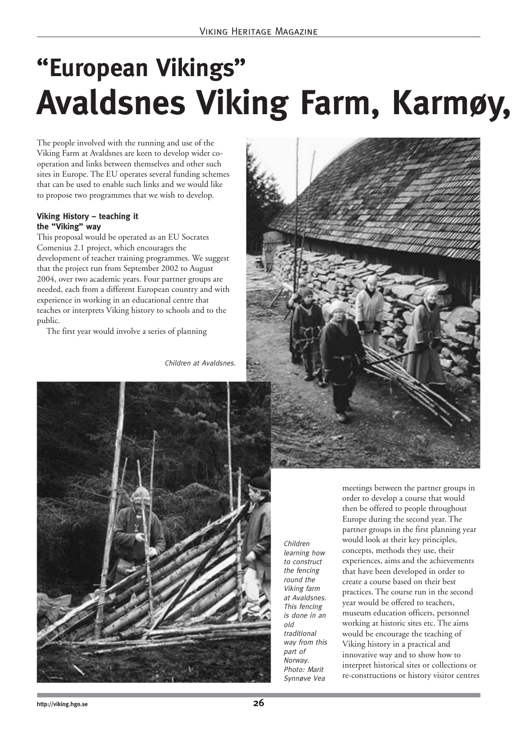### **"European Vikings" Avaldsnes Viking Farm, Karmøy,**

The people involved with the running and use of the Viking Farm at Avaldsnes are keen to develop wider cooperation and links between themselves and other such sites in Europe. The EU operates several funding schemes that can be used to enable such links and we would like to propose two programmes that we wish to develop.

#### **Viking History – teaching it the "Viking" way**

This proposal would be operated as an EU Socrates Comenius 2.1 project, which encourages the development of teacher training programmes. We suggest that the project run from September 2002 to August 2004, over two academic years. Four partner groups are needed, each from a different European country and with experience in working in an educational centre that teaches or interprets Viking history to schools and to the public.

The first year would involve a series of planning

Children at Avaldsnes.



Children learning how to construct the fencing round the Viking farm at Avaldsnes. This fencing is done in an old traditional way from this part of Norway. Photo: Marit Synnøve Vea

meetings between the partner groups in order to develop a course that would then be offered to people throughout Europe during the second year. The partner groups in the first planning year would look at their key principles, concepts, methods they use, their experiences, aims and the achievements that have been developed in order to create a course based on their best practices. The course run in the second year would be offered to teachers, museum education officers, personnel working at historic sites etc. The aims would be encourage the teaching of Viking history in a practical and innovative way and to show how to interpret historical sites or collections or re-constructions or history visitor centres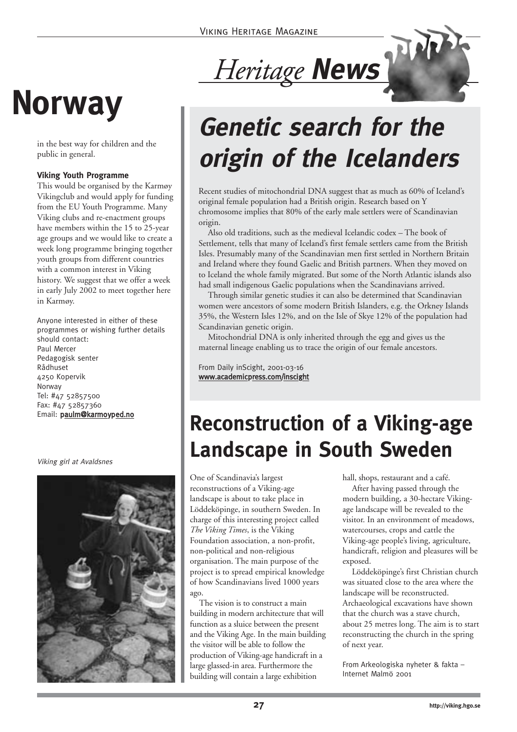## **Norway**

in the best way for children and the public in general.

#### **Viking Youth Programme**

This would be organised by the Karmøy Vikingclub and would apply for funding from the EU Youth Programme. Many Viking clubs and re-enactment groups have members within the 15 to 25-year age groups and we would like to create a week long programme bringing together youth groups from different countries with a common interest in Viking history. We suggest that we offer a week in early July 2002 to meet together here in Karmøy.

Anyone interested in either of these programmes or wishing further details should contact: Paul Mercer Pedagogisk senter Rådhuset 4250 Kopervik Norway Tel: #47 52857500 Fax: #47 52857360 Email: paulm@karmoyped.no

Viking girl at Avaldsnes



### *Heritage* **News**

### **Genetic search for the origin of the Icelanders**

Recent studies of mitochondrial DNA suggest that as much as 60% of Iceland's original female population had a British origin. Research based on Y chromosome implies that 80% of the early male settlers were of Scandinavian origin.

Also old traditions, such as the medieval Icelandic codex – The book of Settlement, tells that many of Iceland's first female settlers came from the British Isles. Presumably many of the Scandinavian men first settled in Northern Britain and Ireland where they found Gaelic and British partners. When they moved on to Iceland the whole family migrated. But some of the North Atlantic islands also had small indigenous Gaelic populations when the Scandinavians arrived.

Through similar genetic studies it can also be determined that Scandinavian women were ancestors of some modern British Islanders, e.g. the Orkney Islands 35%, the Western Isles 12%, and on the Isle of Skye 12% of the population had Scandinavian genetic origin.

Mitochondrial DNA is only inherited through the egg and gives us the maternal lineage enabling us to trace the origin of our female ancestors.

From Daily inScight, 2001-03-16 www.academicpress.com/inscight

### **Reconstruction of a Viking-age Landscape in South Sweden**

One of Scandinavia's largest reconstructions of a Viking-age landscape is about to take place in Löddeköpinge, in southern Sweden. In charge of this interesting project called *The Viking Times*, is the Viking Foundation association, a non-profit, non-political and non-religious organisation. The main purpose of the project is to spread empirical knowledge of how Scandinavians lived 1000 years ago.

The vision is to construct a main building in modern architecture that will function as a sluice between the present and the Viking Age. In the main building the visitor will be able to follow the production of Viking-age handicraft in a large glassed-in area. Furthermore the building will contain a large exhibition

hall, shops, restaurant and a café.

After having passed through the modern building, a 30-hectare Vikingage landscape will be revealed to the visitor. In an environment of meadows, watercourses, crops and cattle the Viking-age people's living, agriculture, handicraft, religion and pleasures will be exposed.

Löddeköpinge's first Christian church was situated close to the area where the landscape will be reconstructed. Archaeological excavations have shown that the church was a stave church, about 25 metres long. The aim is to start reconstructing the church in the spring of next year.

From Arkeologiska nyheter & fakta – Internet Malmö 2001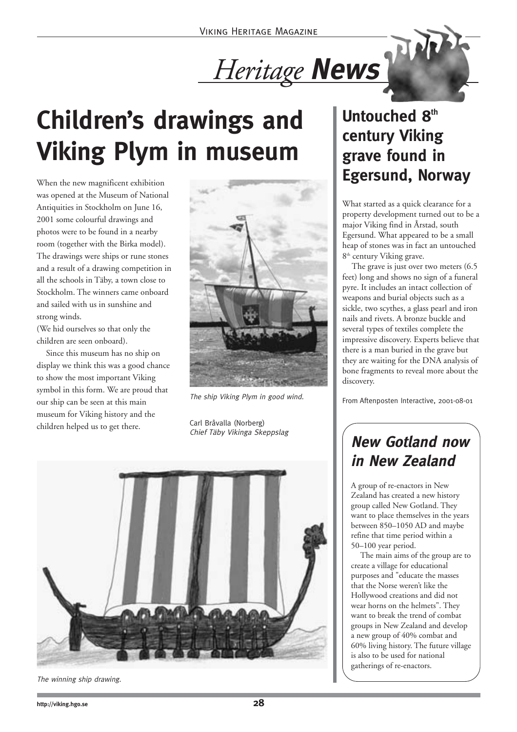*Heritage* **News**

### **Children's drawings and Viking Plym in museum**

When the new magnificent exhibition was opened at the Museum of National Antiquities in Stockholm on June 16, 2001 some colourful drawings and photos were to be found in a nearby room (together with the Birka model). The drawings were ships or rune stones and a result of a drawing competition in all the schools in Täby, a town close to Stockholm. The winners came onboard and sailed with us in sunshine and strong winds.

(We hid ourselves so that only the children are seen onboard).

Since this museum has no ship on display we think this was a good chance to show the most important Viking symbol in this form. We are proud that our ship can be seen at this main museum for Viking history and the children helped us to get there.



The ship Viking Plym in good wind.

Carl Bråvalla (Norberg) Chief Täby Vikinga Skeppslag



#### The winning ship drawing.

#### Untouched 8<sup>th</sup> **century Viking grave found in Egersund, Norway**

What started as a quick clearance for a property development turned out to be a major Viking find in Årstad, south Egersund. What appeared to be a small heap of stones was in fact an untouched 8<sup>th</sup> century Viking grave.

The grave is just over two meters (6.5 feet) long and shows no sign of a funeral pyre. It includes an intact collection of weapons and burial objects such as a sickle, two scythes, a glass pearl and iron nails and rivets. A bronze buckle and several types of textiles complete the impressive discovery. Experts believe that there is a man buried in the grave but they are waiting for the DNA analysis of bone fragments to reveal more about the discovery.

From Aftenposten Interactive, 2001-08-01

#### **New Gotland now in New Zealand**

A group of re-enactors in New Zealand has created a new history group called New Gotland. They want to place themselves in the years between 850–1050 AD and maybe refine that time period within a 50–100 year period.

The main aims of the group are to create a village for educational purposes and "educate the masses that the Norse weren't like the Hollywood creations and did not wear horns on the helmets". They want to break the trend of combat groups in New Zealand and develop a new group of 40% combat and 60% living history. The future village is also to be used for national gatherings of re-enactors.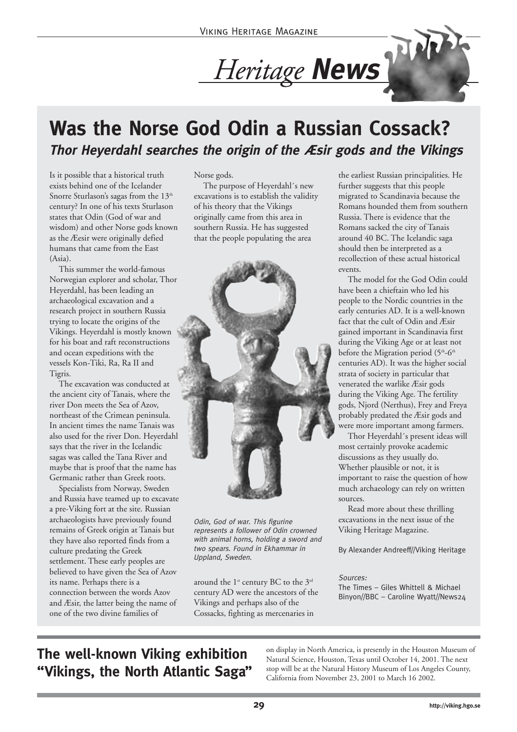### *Heritage* **News**

#### **Was the Norse God Odin a Russian Cossack? Thor Heyerdahl searches the origin of the Æsir gods and the Vikings**

Is it possible that a historical truth exists behind one of the Icelander Snorre Sturlason's sagas from the 13<sup>th</sup> century? In one of his texts Sturlason states that Odin (God of war and wisdom) and other Norse gods known as the Æesir were originally defied humans that came from the East (Asia).

This summer the world-famous Norwegian explorer and scholar, Thor Heyerdahl, has been leading an archaeological excavation and a research project in southern Russia trying to locate the origins of the Vikings. Heyerdahl is mostly known for his boat and raft reconstructions and ocean expeditions with the vessels Kon-Tiki, Ra, Ra II and Tigris.

The excavation was conducted at the ancient city of Tanais, where the river Don meets the Sea of Azov, northeast of the Crimean peninsula. In ancient times the name Tanais was also used for the river Don. Heyerdahl says that the river in the Icelandic sagas was called the Tana River and maybe that is proof that the name has Germanic rather than Greek roots.

Specialists from Norway, Sweden and Russia have teamed up to excavate a pre-Viking fort at the site. Russian archaeologists have previously found remains of Greek origin at Tanais but they have also reported finds from a culture predating the Greek settlement. These early peoples are believed to have given the Sea of Azov its name. Perhaps there is a connection between the words Azov and Æsir, the latter being the name of one of the two divine families of

Norse gods.

The purpose of Heyerdahl´s new excavations is to establish the validity of his theory that the Vikings originally came from this area in southern Russia. He has suggested that the people populating the area



Odin, God of war. This figurine represents a follower of Odin crowned with animal horns, holding a sword and two spears. Found in Ekhammar in Uppland, Sweden.

around the  $1^{st}$  century BC to the  $3^{rd}$ century AD were the ancestors of the Vikings and perhaps also of the Cossacks, fighting as mercenaries in

the earliest Russian principalities. He further suggests that this people migrated to Scandinavia because the Romans hounded them from southern Russia. There is evidence that the Romans sacked the city of Tanais around 40 BC. The Icelandic saga should then be interpreted as a recollection of these actual historical events.

The model for the God Odin could have been a chieftain who led his people to the Nordic countries in the early centuries AD. It is a well-known fact that the cult of Odin and Æsir gained important in Scandinavia first during the Viking Age or at least not before the Migration period (5<sup>th</sup>-6<sup>th</sup> centuries AD). It was the higher social strata of society in particular that venerated the warlike Æsir gods during the Viking Age. The fertility gods, Njord (Nerthus), Frey and Freya probably predated the Æsir gods and were more important among farmers.

Thor Heyerdahl´s present ideas will most certainly provoke academic discussions as they usually do. Whether plausible or not, it is important to raise the question of how much archaeology can rely on written sources.

Read more about these thrilling excavations in the next issue of the Viking Heritage Magazine.

By Alexander Andreeff//Viking Heritage

Sources: The Times – Giles Whittell & Michael Binyon//BBC – Caroline Wyatt//News24

#### **The well-known Viking exhibition "Vikings, the North Atlantic Saga"**

on display in North America, is presently in the Houston Museum of Natural Science, Houston, Texas until October 14, 2001. The next stop will be at the Natural History Museum of Los Angeles County, California from November 23, 2001 to March 16 2002.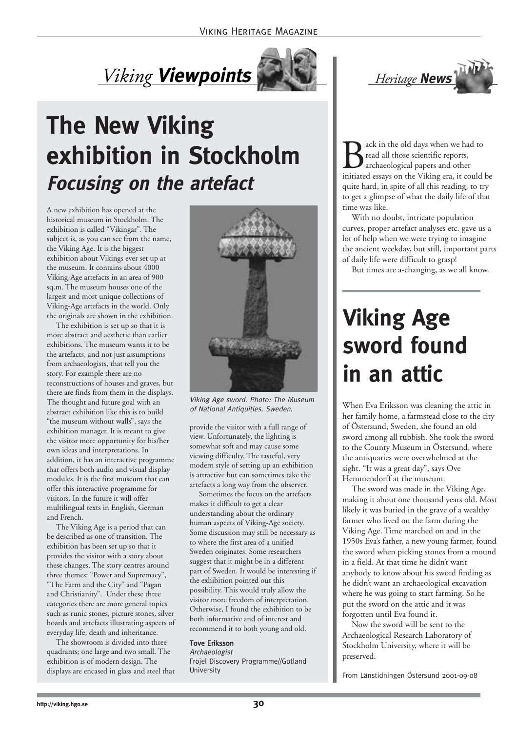### *Viking* **Viewpoints**



**The New Viking exhibition in Stockholm Focusing on the artefact** 

A new exhibition has opened at the historical museum in Stockholm. The exhibition is called "Vikingar". The subject is, as you can see from the name, the Viking Age. It is the biggest exhibition about Vikings ever set up at the museum. It contains about 4000 Viking-Age artefacts in an area of 900 sq.m. The museum houses one of the largest and most unique collections of Viking-Age artefacts in the world. Only the originals are shown in the exhibition.

The exhibition is set up so that it is more abstract and aesthetic than earlier exhibitions. The museum wants it to be the artefacts, and not just assumptions from archaeologists, that tell you the story. For example there are no reconstructions of houses and graves, but there are finds from them in the displays. The thought and future goal with an abstract exhibition like this is to build "the museum without walls", says the exhibition manager. It is meant to give the visitor more opportunity for his/her own ideas and interpretations. In addition, it has an interactive programme that offers both audio and visual display modules. It is the first museum that can offer this interactive programme for visitors. In the future it will offer multilingual texts in English, German and French.

The Viking Age is a period that can be described as one of transition. The exhibition has been set up so that it provides the visitor with a story about these changes. The story centres around three themes: "Power and Supremacy", "The Farm and the City" and "Pagan and Christianity". Under these three categories there are more general topics such as runic stones, picture stones, silver hoards and artefacts illustrating aspects of everyday life, death and inheritance.

The showroom is divided into three quadrants; one large and two small. The exhibition is of modern design. The displays are encased in glass and steel that



Viking Age sword. Photo: The Museum

provide the visitor with a full range of view. Unfortunately, the lighting is somewhat soft and may cause some viewing difficulty. The tasteful, very modern style of setting up an exhibition is attractive but can sometimes take the artefacts a long way from the observer.

Sometimes the focus on the artefacts makes it difficult to get a clear understanding about the ordinary human aspects of Viking-Age society. Some discussion may still be necessary as to where the first area of a unified Sweden originates. Some researchers suggest that it might be in a different part of Sweden. It would be interesting if the exhibition pointed out this possibility. This would truly allow the visitor more freedom of interpretation. Otherwise, I found the exhibition to be both informative and of interest and recommend it to both young and old.

#### Tove Eriksson

Archaeologist Fröjel Discovery Programme//Gotland University



**B** ack in the old days when we had to<br>read all those scientific reports,<br>initiated essays on the Viking era, it could be read all those scientific reports, archaeological papers and other quite hard, in spite of all this reading, to try to get a glimpse of what the daily life of that time was like.

With no doubt, intricate population curves, proper artefact analyses etc. gave us a lot of help when we were trying to imagine the ancient weekday, but still, important parts of daily life were difficult to grasp!

But times are a-changing, as we all know.

### **Viking Age sword found in an attic**

of National Antiquities. Sweden. her family home, a farmstead close to the city of Östersund, Sweden, she found an old sword among all rubbish. She took the sword to the County Museum in Östersund, where the antiquaries were overwhelmed at the sight. "It was a great day", says Ove Hemmendorff at the museum.

The sword was made in the Viking Age, making it about one thousand years old. Most likely it was buried in the grave of a wealthy farmer who lived on the farm during the Viking Age. Time marched on and in the 1950s Eva's father, a new young farmer, found the sword when picking stones from a mound in a field. At that time he didn't want anybody to know about his sword finding as he didn't want an archaeological excavation where he was going to start farming. So he put the sword on the attic and it was forgotten until Eva found it.

Now the sword will be sent to the Archaeological Research Laboratory of Stockholm University, where it will be preserved.

From Länstidningen Östersund 2001-09-08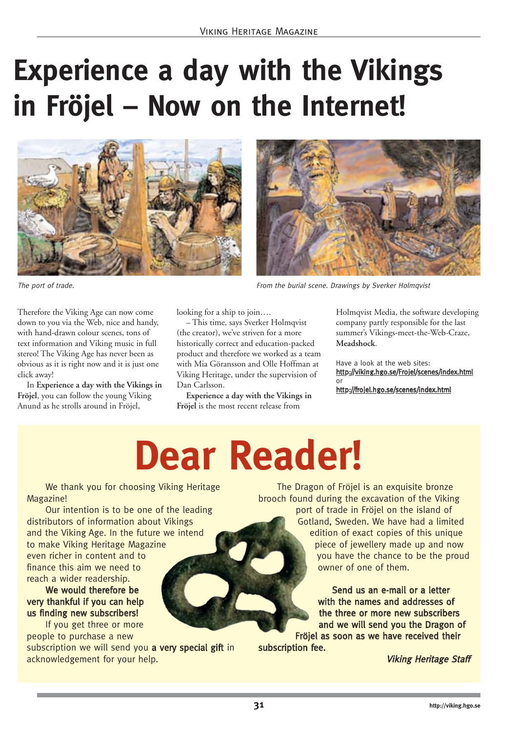### **Experience a day with the Vikings in Fröjel – Now on the Internet!**





Therefore the Viking Age can now come down to you via the Web, nice and handy, with hand-drawn colour scenes, tons of text information and Viking music in full stereo! The Viking Age has never been as obvious as it is right now and it is just one click away!

In **Experience a day with the Vikings in Fröjel**, you can follow the young Viking Anund as he strolls around in Fröjel,

looking for a ship to join….

– This time, says Sverker Holmqvist (the creator), we've striven for a more historically correct and education-packed product and therefore we worked as a team with Mia Göransson and Olle Hoffman at Viking Heritage, under the supervision of Dan Carlsson.

**Experience a day with the Vikings in Fröjel** is the most recent release from



Holmqvist Media, the software developing company partly responsible for the last summer's Vikings-meet-the-Web-Craze, **Meadshock**.

Have a look at the web sites: http://viking.hgo.se/Frojel/scenes/index.html or

http://frojel.hgo.se/scenes/index.html

## **Dear Reader!**

We thank you for choosing Viking Heritage Magazine!

Our intention is to be one of the leading distributors of information about Vikings and the Viking Age. In the future we intend to make Viking Heritage Magazine even richer in content and to finance this aim we need to reach a wider readership.

We would therefore be very thankful if you can help us finding new subscribers!

If you get three or more people to purchase a new

subscription we will send you a very special gift in acknowledgement for your help.

The Dragon of Fröjel is an exquisite bronze brooch found during the excavation of the Viking port of trade in Fröjel on the island of Gotland, Sweden. We have had a limited edition of exact copies of this unique piece of jewellery made up and now you have the chance to be the proud owner of one of them.

> Send us an e-mail or a letter with the names and addresses of the three or more new subscribers and we will send you the Dragon of

Fröjel as soon as we have received their subscription fee.

Viking Heritage Staff